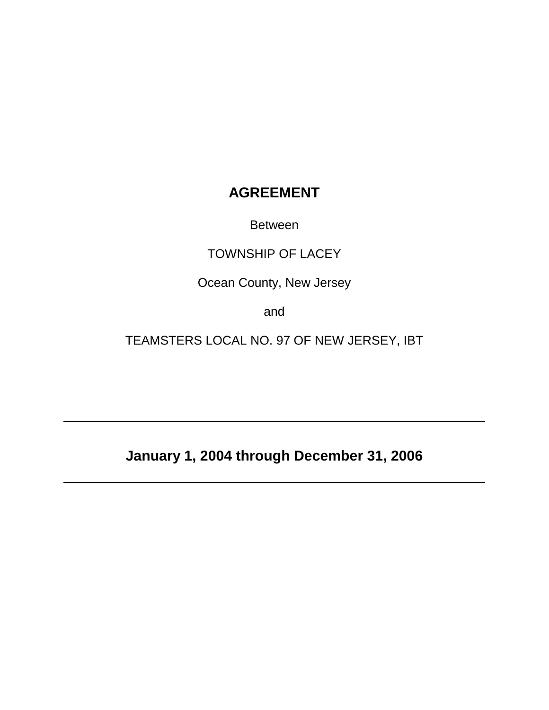# **AGREEMENT**

Between

# TOWNSHIP OF LACEY

Ocean County, New Jersey

and

TEAMSTERS LOCAL NO. 97 OF NEW JERSEY, IBT

**January 1, 2004 through December 31, 2006**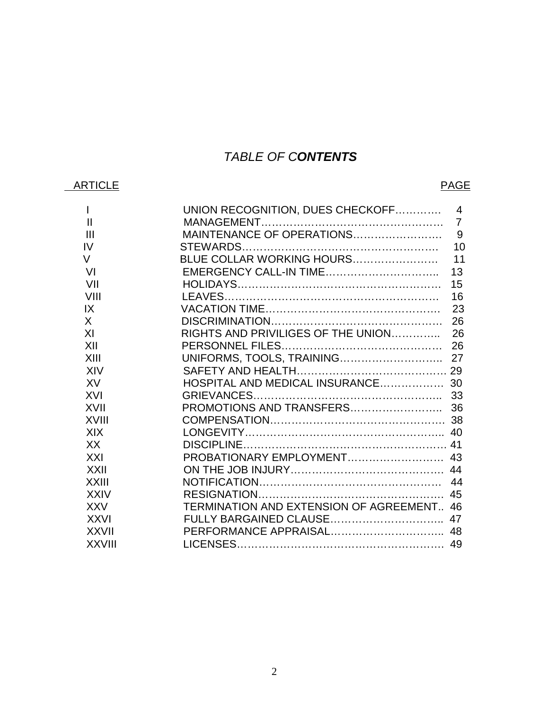# *TABLE OF CONTENTS*

# ARTICLE PAGE

| $\mathbf{I}$   | UNION RECOGNITION, DUES CHECKOFF<br>$\overline{4}$ |
|----------------|----------------------------------------------------|
| $\mathbf{III}$ |                                                    |
| IV             | 10                                                 |
| $\vee$         |                                                    |
|                |                                                    |
| VI             |                                                    |
| VII            | 15                                                 |
| VIII           | 16                                                 |
| IX             | 23                                                 |
| X              | 26                                                 |
| XI             |                                                    |
| XII            |                                                    |
| XIII           |                                                    |
| XIV            |                                                    |
| XV             |                                                    |
| XVI            |                                                    |
| <b>XVII</b>    |                                                    |
| XVIII          |                                                    |
| <b>XIX</b>     |                                                    |
| XX             |                                                    |
| XXI            |                                                    |
| <b>XXII</b>    |                                                    |
| <b>XXIII</b>   |                                                    |
| <b>XXIV</b>    |                                                    |
| <b>XXV</b>     | TERMINATION AND EXTENSION OF AGREEMENT 46          |
| <b>XXVI</b>    | FULLY BARGAINED CLAUSE 47                          |
| <b>XXVII</b>   |                                                    |
| <b>XXVIII</b>  |                                                    |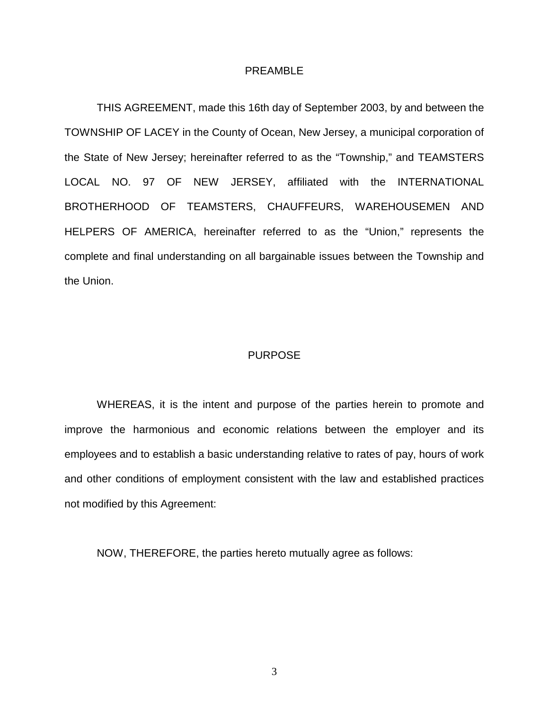#### PREAMBLE

THIS AGREEMENT, made this 16th day of September 2003, by and between the TOWNSHIP OF LACEY in the County of Ocean, New Jersey, a municipal corporation of the State of New Jersey; hereinafter referred to as the "Township," and TEAMSTERS LOCAL NO. 97 OF NEW JERSEY, affiliated with the INTERNATIONAL BROTHERHOOD OF TEAMSTERS, CHAUFFEURS, WAREHOUSEMEN AND HELPERS OF AMERICA, hereinafter referred to as the "Union," represents the complete and final understanding on all bargainable issues between the Township and the Union.

#### PURPOSE

WHEREAS, it is the intent and purpose of the parties herein to promote and improve the harmonious and economic relations between the employer and its employees and to establish a basic understanding relative to rates of pay, hours of work and other conditions of employment consistent with the law and established practices not modified by this Agreement:

NOW, THEREFORE, the parties hereto mutually agree as follows: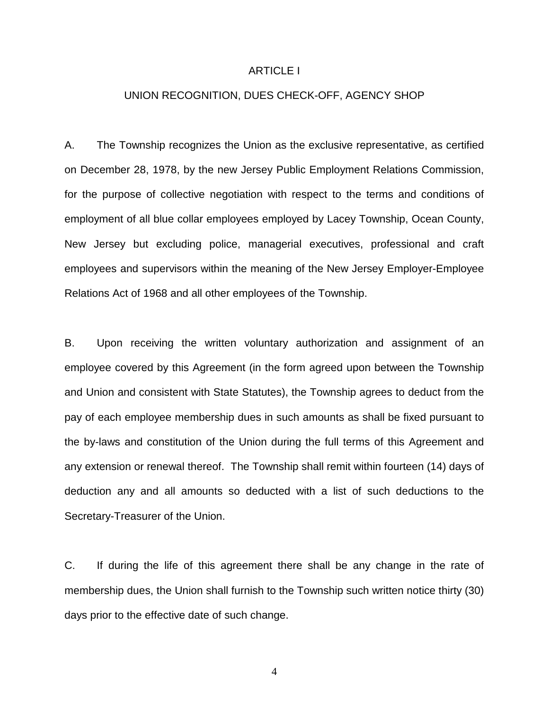### ARTICLE I

# UNION RECOGNITION, DUES CHECK-OFF, AGENCY SHOP

A. The Township recognizes the Union as the exclusive representative, as certified on December 28, 1978, by the new Jersey Public Employment Relations Commission, for the purpose of collective negotiation with respect to the terms and conditions of employment of all blue collar employees employed by Lacey Township, Ocean County, New Jersey but excluding police, managerial executives, professional and craft employees and supervisors within the meaning of the New Jersey Employer-Employee Relations Act of 1968 and all other employees of the Township.

B. Upon receiving the written voluntary authorization and assignment of an employee covered by this Agreement (in the form agreed upon between the Township and Union and consistent with State Statutes), the Township agrees to deduct from the pay of each employee membership dues in such amounts as shall be fixed pursuant to the by-laws and constitution of the Union during the full terms of this Agreement and any extension or renewal thereof. The Township shall remit within fourteen (14) days of deduction any and all amounts so deducted with a list of such deductions to the Secretary-Treasurer of the Union.

C. If during the life of this agreement there shall be any change in the rate of membership dues, the Union shall furnish to the Township such written notice thirty (30) days prior to the effective date of such change.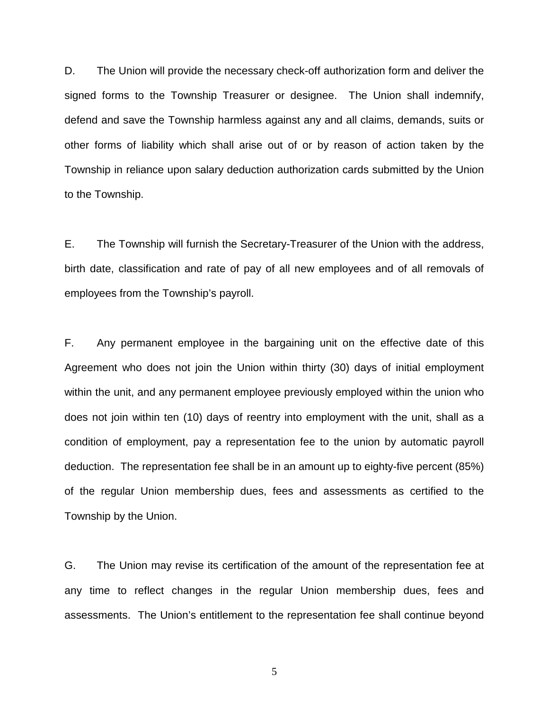D. The Union will provide the necessary check-off authorization form and deliver the signed forms to the Township Treasurer or designee. The Union shall indemnify, defend and save the Township harmless against any and all claims, demands, suits or other forms of liability which shall arise out of or by reason of action taken by the Township in reliance upon salary deduction authorization cards submitted by the Union to the Township.

E. The Township will furnish the Secretary-Treasurer of the Union with the address, birth date, classification and rate of pay of all new employees and of all removals of employees from the Township's payroll.

F. Any permanent employee in the bargaining unit on the effective date of this Agreement who does not join the Union within thirty (30) days of initial employment within the unit, and any permanent employee previously employed within the union who does not join within ten (10) days of reentry into employment with the unit, shall as a condition of employment, pay a representation fee to the union by automatic payroll deduction. The representation fee shall be in an amount up to eighty-five percent (85%) of the regular Union membership dues, fees and assessments as certified to the Township by the Union.

G. The Union may revise its certification of the amount of the representation fee at any time to reflect changes in the regular Union membership dues, fees and assessments. The Union's entitlement to the representation fee shall continue beyond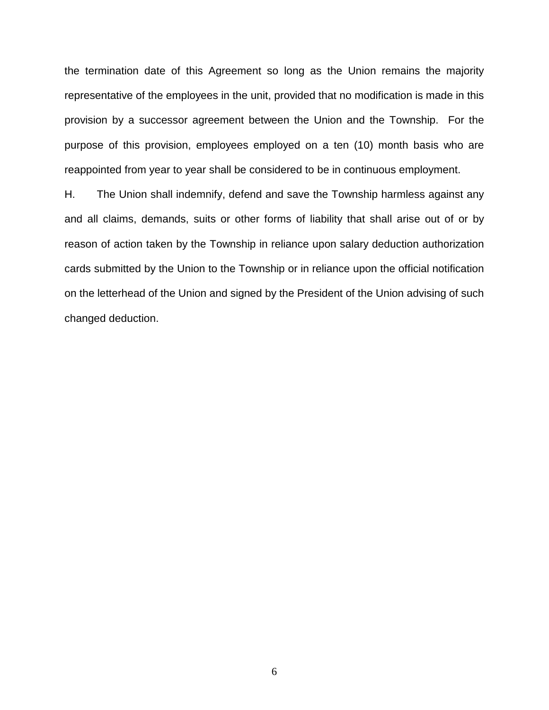the termination date of this Agreement so long as the Union remains the majority representative of the employees in the unit, provided that no modification is made in this provision by a successor agreement between the Union and the Township. For the purpose of this provision, employees employed on a ten (10) month basis who are reappointed from year to year shall be considered to be in continuous employment.

H. The Union shall indemnify, defend and save the Township harmless against any and all claims, demands, suits or other forms of liability that shall arise out of or by reason of action taken by the Township in reliance upon salary deduction authorization cards submitted by the Union to the Township or in reliance upon the official notification on the letterhead of the Union and signed by the President of the Union advising of such changed deduction.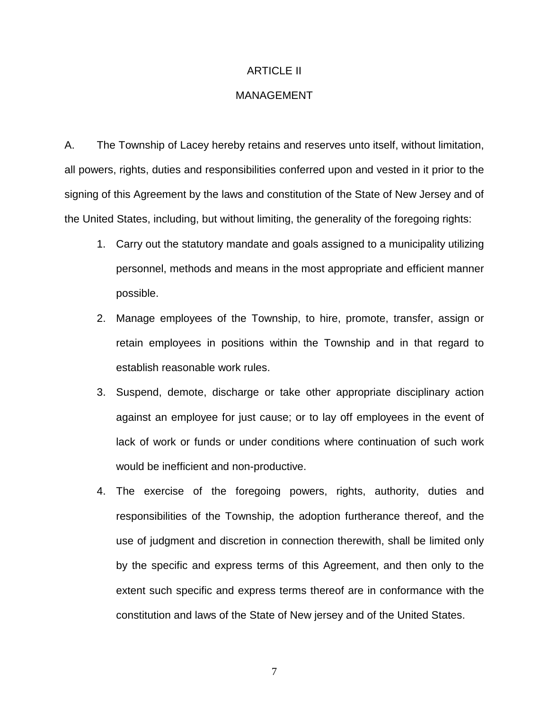# ARTICLE II

# MANAGEMENT

A. The Township of Lacey hereby retains and reserves unto itself, without limitation, all powers, rights, duties and responsibilities conferred upon and vested in it prior to the signing of this Agreement by the laws and constitution of the State of New Jersey and of the United States, including, but without limiting, the generality of the foregoing rights:

- 1. Carry out the statutory mandate and goals assigned to a municipality utilizing personnel, methods and means in the most appropriate and efficient manner possible.
- 2. Manage employees of the Township, to hire, promote, transfer, assign or retain employees in positions within the Township and in that regard to establish reasonable work rules.
- 3. Suspend, demote, discharge or take other appropriate disciplinary action against an employee for just cause; or to lay off employees in the event of lack of work or funds or under conditions where continuation of such work would be inefficient and non-productive.
- 4. The exercise of the foregoing powers, rights, authority, duties and responsibilities of the Township, the adoption furtherance thereof, and the use of judgment and discretion in connection therewith, shall be limited only by the specific and express terms of this Agreement, and then only to the extent such specific and express terms thereof are in conformance with the constitution and laws of the State of New jersey and of the United States.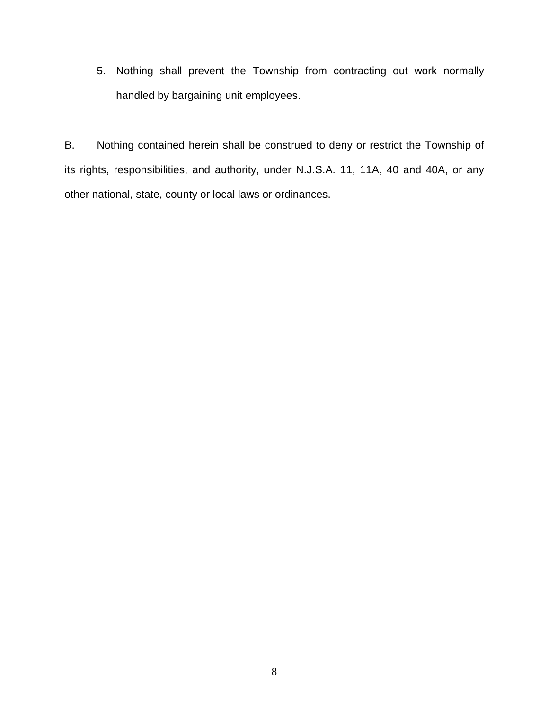5. Nothing shall prevent the Township from contracting out work normally handled by bargaining unit employees.

B. Nothing contained herein shall be construed to deny or restrict the Township of its rights, responsibilities, and authority, under N.J.S.A. 11, 11A, 40 and 40A, or any other national, state, county or local laws or ordinances.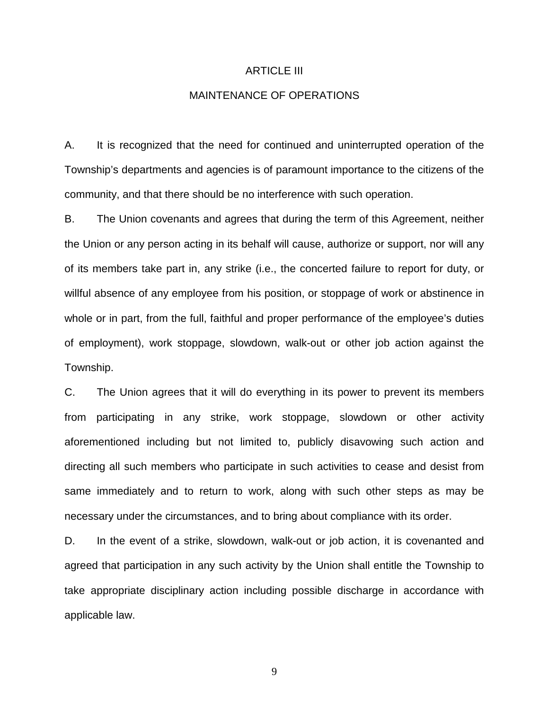#### ARTICLE III

# MAINTENANCE OF OPERATIONS

A. It is recognized that the need for continued and uninterrupted operation of the Township's departments and agencies is of paramount importance to the citizens of the community, and that there should be no interference with such operation.

B. The Union covenants and agrees that during the term of this Agreement, neither the Union or any person acting in its behalf will cause, authorize or support, nor will any of its members take part in, any strike (i.e., the concerted failure to report for duty, or willful absence of any employee from his position, or stoppage of work or abstinence in whole or in part, from the full, faithful and proper performance of the employee's duties of employment), work stoppage, slowdown, walk-out or other job action against the Township.

C. The Union agrees that it will do everything in its power to prevent its members from participating in any strike, work stoppage, slowdown or other activity aforementioned including but not limited to, publicly disavowing such action and directing all such members who participate in such activities to cease and desist from same immediately and to return to work, along with such other steps as may be necessary under the circumstances, and to bring about compliance with its order.

D. In the event of a strike, slowdown, walk-out or job action, it is covenanted and agreed that participation in any such activity by the Union shall entitle the Township to take appropriate disciplinary action including possible discharge in accordance with applicable law.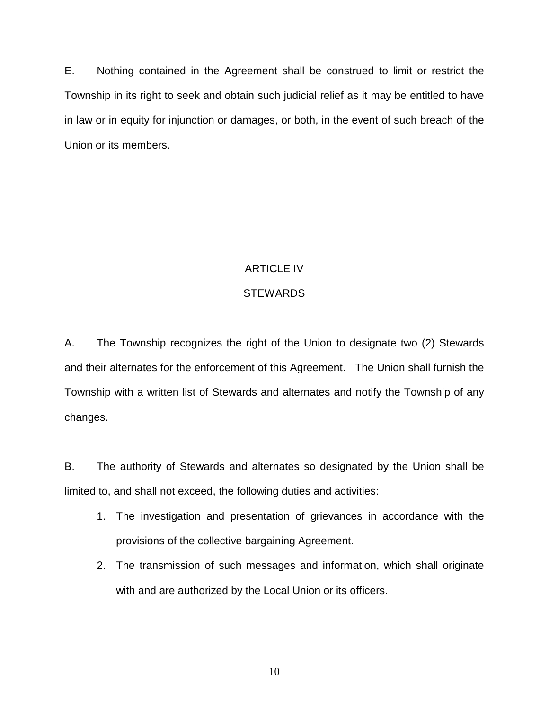E. Nothing contained in the Agreement shall be construed to limit or restrict the Township in its right to seek and obtain such judicial relief as it may be entitled to have in law or in equity for injunction or damages, or both, in the event of such breach of the Union or its members.

# ARTICLE IV

# **STEWARDS**

A. The Township recognizes the right of the Union to designate two (2) Stewards and their alternates for the enforcement of this Agreement. The Union shall furnish the Township with a written list of Stewards and alternates and notify the Township of any changes.

B. The authority of Stewards and alternates so designated by the Union shall be limited to, and shall not exceed, the following duties and activities:

- 1. The investigation and presentation of grievances in accordance with the provisions of the collective bargaining Agreement.
- 2. The transmission of such messages and information, which shall originate with and are authorized by the Local Union or its officers.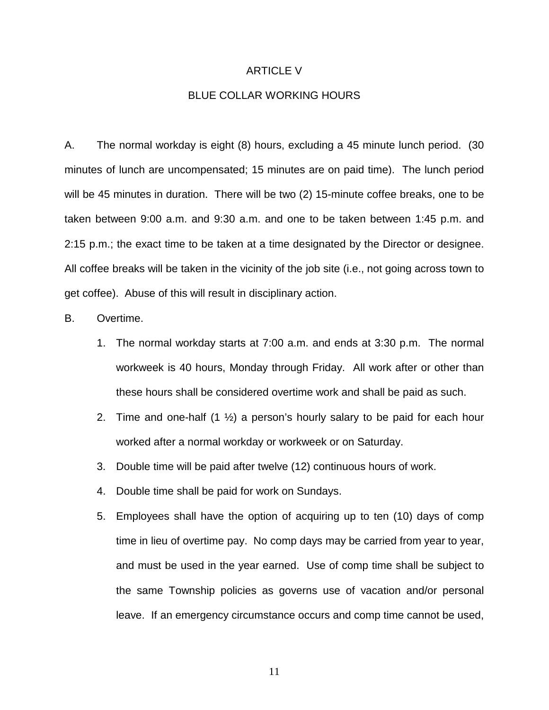#### ARTICLE V

# BLUE COLLAR WORKING HOURS

A. The normal workday is eight (8) hours, excluding a 45 minute lunch period. (30 minutes of lunch are uncompensated; 15 minutes are on paid time). The lunch period will be 45 minutes in duration. There will be two (2) 15-minute coffee breaks, one to be taken between 9:00 a.m. and 9:30 a.m. and one to be taken between 1:45 p.m. and 2:15 p.m.; the exact time to be taken at a time designated by the Director or designee. All coffee breaks will be taken in the vicinity of the job site (i.e., not going across town to get coffee). Abuse of this will result in disciplinary action.

### B. Overtime.

- 1. The normal workday starts at 7:00 a.m. and ends at 3:30 p.m. The normal workweek is 40 hours, Monday through Friday. All work after or other than these hours shall be considered overtime work and shall be paid as such.
- 2. Time and one-half  $(1 \frac{1}{2})$  a person's hourly salary to be paid for each hour worked after a normal workday or workweek or on Saturday.
- 3. Double time will be paid after twelve (12) continuous hours of work.
- 4. Double time shall be paid for work on Sundays.
- 5. Employees shall have the option of acquiring up to ten (10) days of comp time in lieu of overtime pay. No comp days may be carried from year to year, and must be used in the year earned. Use of comp time shall be subject to the same Township policies as governs use of vacation and/or personal leave. If an emergency circumstance occurs and comp time cannot be used,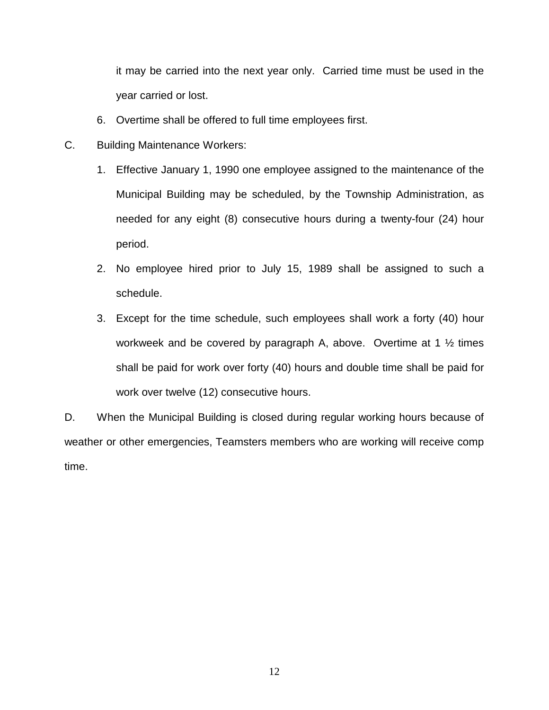it may be carried into the next year only. Carried time must be used in the year carried or lost.

- 6. Overtime shall be offered to full time employees first.
- C. Building Maintenance Workers:
	- 1. Effective January 1, 1990 one employee assigned to the maintenance of the Municipal Building may be scheduled, by the Township Administration, as needed for any eight (8) consecutive hours during a twenty-four (24) hour period.
	- 2. No employee hired prior to July 15, 1989 shall be assigned to such a schedule.
	- 3. Except for the time schedule, such employees shall work a forty (40) hour workweek and be covered by paragraph A, above. Overtime at 1 ½ times shall be paid for work over forty (40) hours and double time shall be paid for work over twelve (12) consecutive hours.

D. When the Municipal Building is closed during regular working hours because of weather or other emergencies, Teamsters members who are working will receive comp time.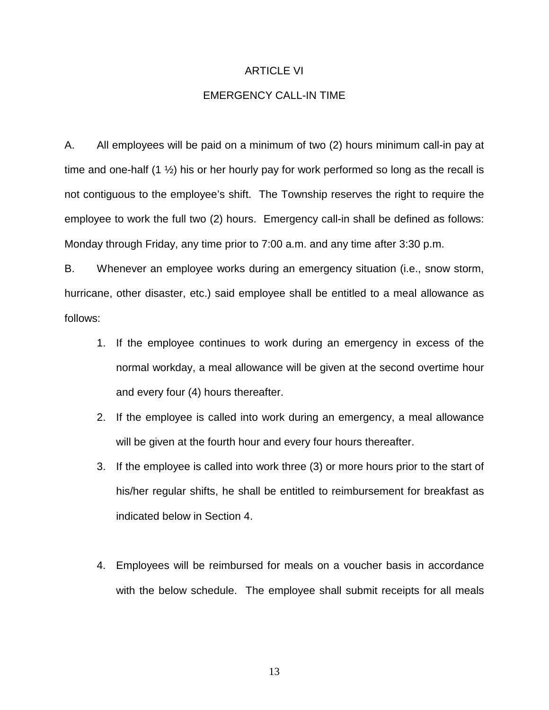#### ARTICLE VI

# EMERGENCY CALL-IN TIME

A. All employees will be paid on a minimum of two (2) hours minimum call-in pay at time and one-half  $(1 \frac{1}{2})$  his or her hourly pay for work performed so long as the recall is not contiguous to the employee's shift. The Township reserves the right to require the employee to work the full two (2) hours. Emergency call-in shall be defined as follows: Monday through Friday, any time prior to 7:00 a.m. and any time after 3:30 p.m.

B. Whenever an employee works during an emergency situation (i.e., snow storm, hurricane, other disaster, etc.) said employee shall be entitled to a meal allowance as follows:

- 1. If the employee continues to work during an emergency in excess of the normal workday, a meal allowance will be given at the second overtime hour and every four (4) hours thereafter.
- 2. If the employee is called into work during an emergency, a meal allowance will be given at the fourth hour and every four hours thereafter.
- 3. If the employee is called into work three (3) or more hours prior to the start of his/her regular shifts, he shall be entitled to reimbursement for breakfast as indicated below in Section 4.
- 4. Employees will be reimbursed for meals on a voucher basis in accordance with the below schedule. The employee shall submit receipts for all meals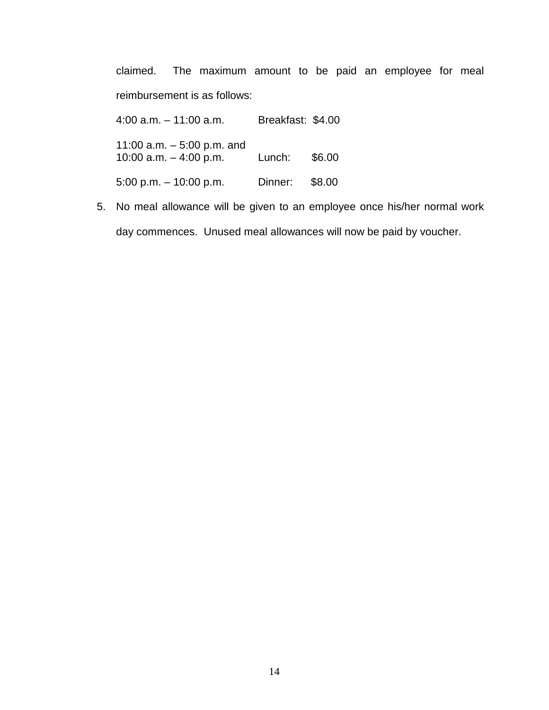claimed. The maximum amount to be paid an employee for meal reimbursement is as follows:

4:00 a.m. – 11:00 a.m. Breakfast: \$4.00 11:00 a.m. – 5:00 p.m. and 10:00 a.m. – 4:00 p.m. Lunch: \$6.00 5:00 p.m. – 10:00 p.m. Dinner: \$8.00

5. No meal allowance will be given to an employee once his/her normal work day commences. Unused meal allowances will now be paid by voucher.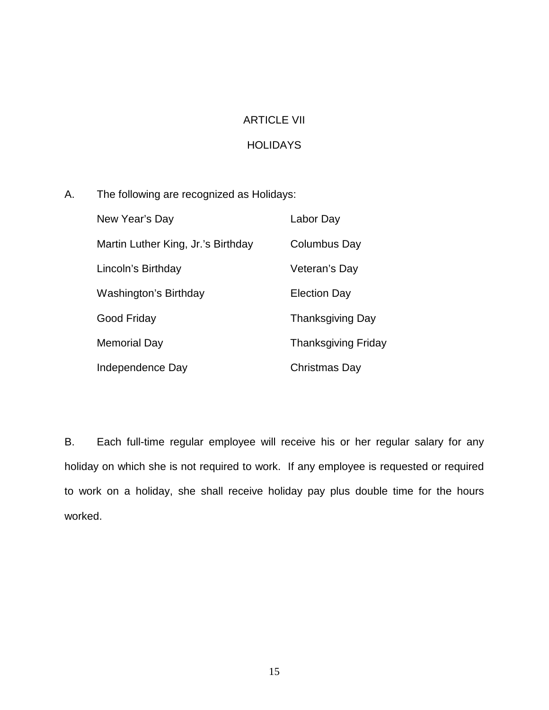# ARTICLE VII

# **HOLIDAYS**

A. The following are recognized as Holidays:

| New Year's Day                     | Labor Day                  |
|------------------------------------|----------------------------|
| Martin Luther King, Jr.'s Birthday | Columbus Day               |
| Lincoln's Birthday                 | Veteran's Day              |
| Washington's Birthday              | <b>Election Day</b>        |
| Good Friday                        | <b>Thanksgiving Day</b>    |
| <b>Memorial Day</b>                | <b>Thanksgiving Friday</b> |
| Independence Day                   | Christmas Day              |

B. Each full-time regular employee will receive his or her regular salary for any holiday on which she is not required to work. If any employee is requested or required to work on a holiday, she shall receive holiday pay plus double time for the hours worked.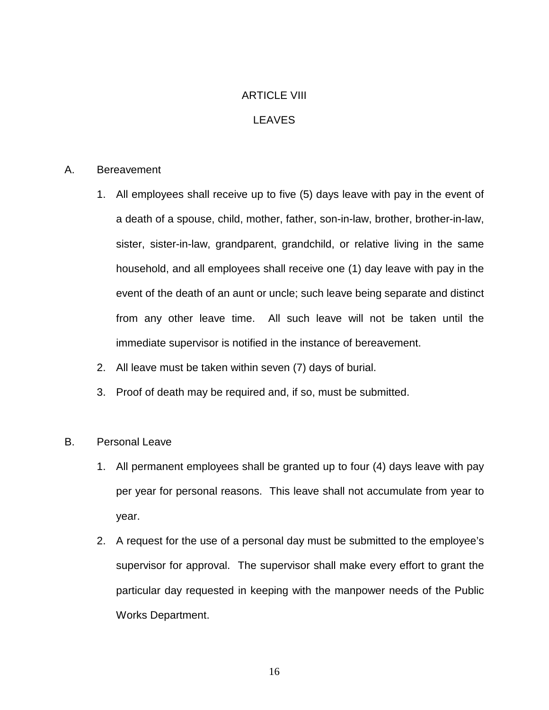# ARTICLE VIII

# LEAVES

# A. Bereavement

- 1. All employees shall receive up to five (5) days leave with pay in the event of a death of a spouse, child, mother, father, son-in-law, brother, brother-in-law, sister, sister-in-law, grandparent, grandchild, or relative living in the same household, and all employees shall receive one (1) day leave with pay in the event of the death of an aunt or uncle; such leave being separate and distinct from any other leave time. All such leave will not be taken until the immediate supervisor is notified in the instance of bereavement.
- 2. All leave must be taken within seven (7) days of burial.
- 3. Proof of death may be required and, if so, must be submitted.

# B. Personal Leave

- 1. All permanent employees shall be granted up to four (4) days leave with pay per year for personal reasons. This leave shall not accumulate from year to year.
- 2. A request for the use of a personal day must be submitted to the employee's supervisor for approval. The supervisor shall make every effort to grant the particular day requested in keeping with the manpower needs of the Public Works Department.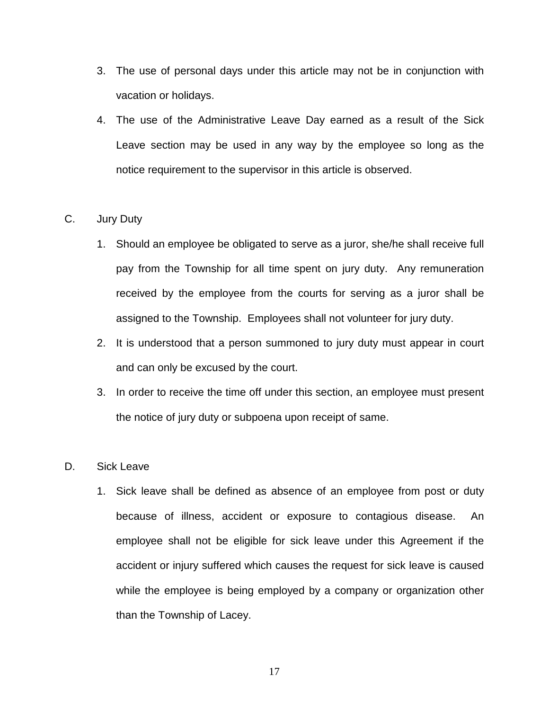- 3. The use of personal days under this article may not be in conjunction with vacation or holidays.
- 4. The use of the Administrative Leave Day earned as a result of the Sick Leave section may be used in any way by the employee so long as the notice requirement to the supervisor in this article is observed.

# C. Jury Duty

- 1. Should an employee be obligated to serve as a juror, she/he shall receive full pay from the Township for all time spent on jury duty. Any remuneration received by the employee from the courts for serving as a juror shall be assigned to the Township. Employees shall not volunteer for jury duty.
- 2. It is understood that a person summoned to jury duty must appear in court and can only be excused by the court.
- 3. In order to receive the time off under this section, an employee must present the notice of jury duty or subpoena upon receipt of same.

# D. Sick Leave

1. Sick leave shall be defined as absence of an employee from post or duty because of illness, accident or exposure to contagious disease. An employee shall not be eligible for sick leave under this Agreement if the accident or injury suffered which causes the request for sick leave is caused while the employee is being employed by a company or organization other than the Township of Lacey.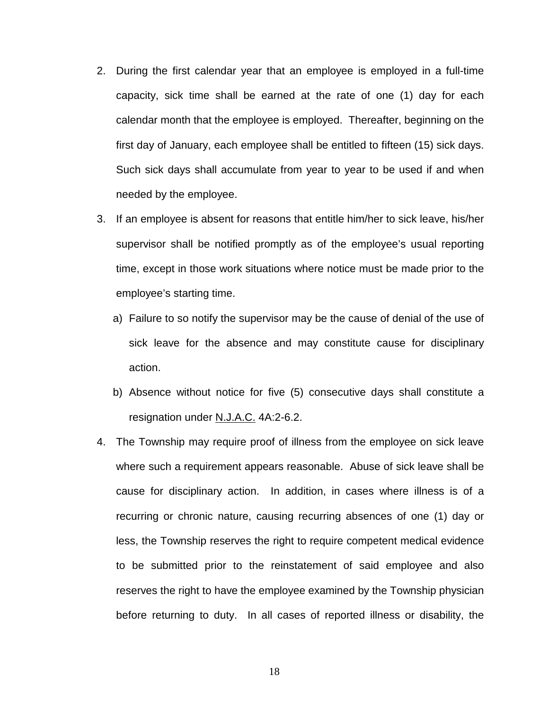- 2. During the first calendar year that an employee is employed in a full-time capacity, sick time shall be earned at the rate of one (1) day for each calendar month that the employee is employed. Thereafter, beginning on the first day of January, each employee shall be entitled to fifteen (15) sick days. Such sick days shall accumulate from year to year to be used if and when needed by the employee.
- 3. If an employee is absent for reasons that entitle him/her to sick leave, his/her supervisor shall be notified promptly as of the employee's usual reporting time, except in those work situations where notice must be made prior to the employee's starting time.
	- a) Failure to so notify the supervisor may be the cause of denial of the use of sick leave for the absence and may constitute cause for disciplinary action.
	- b) Absence without notice for five (5) consecutive days shall constitute a resignation under N.J.A.C. 4A:2-6.2.
- 4. The Township may require proof of illness from the employee on sick leave where such a requirement appears reasonable. Abuse of sick leave shall be cause for disciplinary action. In addition, in cases where illness is of a recurring or chronic nature, causing recurring absences of one (1) day or less, the Township reserves the right to require competent medical evidence to be submitted prior to the reinstatement of said employee and also reserves the right to have the employee examined by the Township physician before returning to duty. In all cases of reported illness or disability, the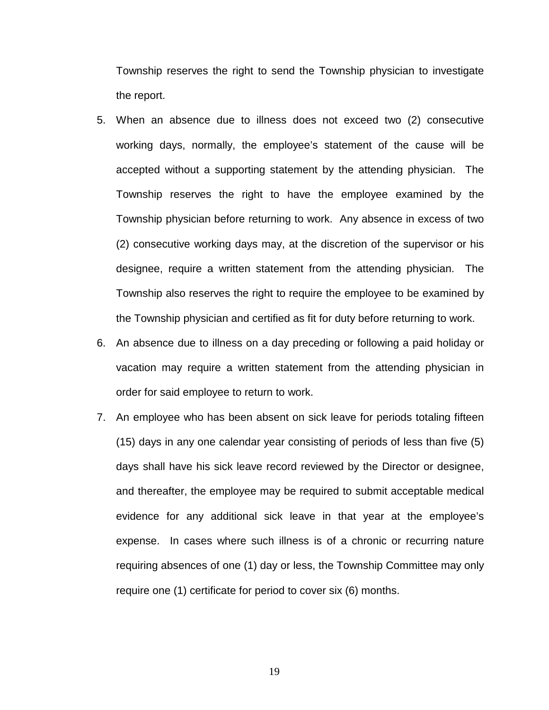Township reserves the right to send the Township physician to investigate the report.

- 5. When an absence due to illness does not exceed two (2) consecutive working days, normally, the employee's statement of the cause will be accepted without a supporting statement by the attending physician. The Township reserves the right to have the employee examined by the Township physician before returning to work. Any absence in excess of two (2) consecutive working days may, at the discretion of the supervisor or his designee, require a written statement from the attending physician. The Township also reserves the right to require the employee to be examined by the Township physician and certified as fit for duty before returning to work.
- 6. An absence due to illness on a day preceding or following a paid holiday or vacation may require a written statement from the attending physician in order for said employee to return to work.
- 7. An employee who has been absent on sick leave for periods totaling fifteen (15) days in any one calendar year consisting of periods of less than five (5) days shall have his sick leave record reviewed by the Director or designee, and thereafter, the employee may be required to submit acceptable medical evidence for any additional sick leave in that year at the employee's expense. In cases where such illness is of a chronic or recurring nature requiring absences of one (1) day or less, the Township Committee may only require one (1) certificate for period to cover six (6) months.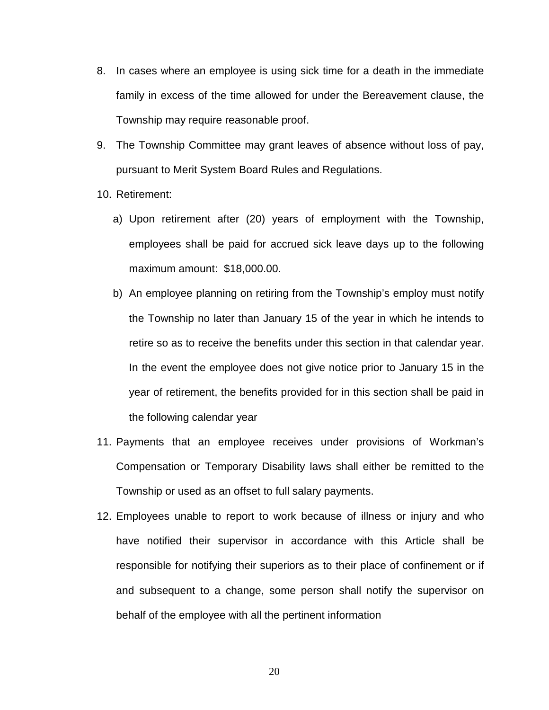- 8. In cases where an employee is using sick time for a death in the immediate family in excess of the time allowed for under the Bereavement clause, the Township may require reasonable proof.
- 9. The Township Committee may grant leaves of absence without loss of pay, pursuant to Merit System Board Rules and Regulations.
- 10. Retirement:
	- a) Upon retirement after (20) years of employment with the Township, employees shall be paid for accrued sick leave days up to the following maximum amount: \$18,000.00.
	- b) An employee planning on retiring from the Township's employ must notify the Township no later than January 15 of the year in which he intends to retire so as to receive the benefits under this section in that calendar year. In the event the employee does not give notice prior to January 15 in the year of retirement, the benefits provided for in this section shall be paid in the following calendar year
- 11. Payments that an employee receives under provisions of Workman's Compensation or Temporary Disability laws shall either be remitted to the Township or used as an offset to full salary payments.
- 12. Employees unable to report to work because of illness or injury and who have notified their supervisor in accordance with this Article shall be responsible for notifying their superiors as to their place of confinement or if and subsequent to a change, some person shall notify the supervisor on behalf of the employee with all the pertinent information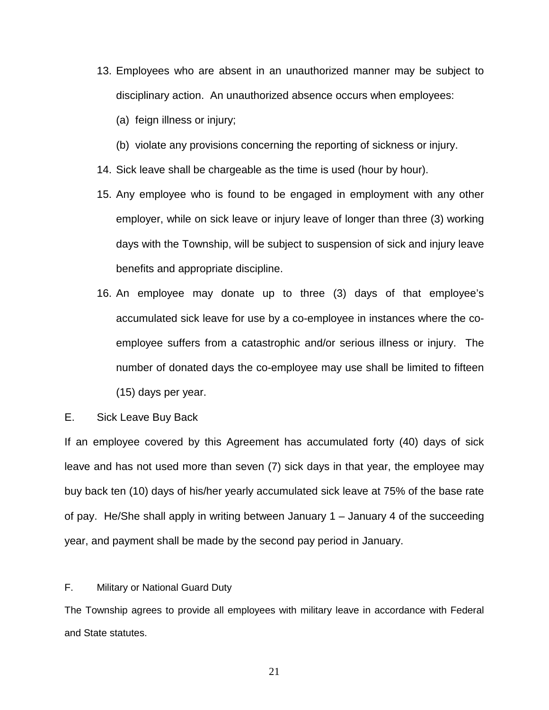- 13. Employees who are absent in an unauthorized manner may be subject to disciplinary action. An unauthorized absence occurs when employees:
	- (a) feign illness or injury;
	- (b) violate any provisions concerning the reporting of sickness or injury.
- 14. Sick leave shall be chargeable as the time is used (hour by hour).
- 15. Any employee who is found to be engaged in employment with any other employer, while on sick leave or injury leave of longer than three (3) working days with the Township, will be subject to suspension of sick and injury leave benefits and appropriate discipline.
- 16. An employee may donate up to three (3) days of that employee's accumulated sick leave for use by a co-employee in instances where the coemployee suffers from a catastrophic and/or serious illness or injury. The number of donated days the co-employee may use shall be limited to fifteen (15) days per year.
- E. Sick Leave Buy Back

If an employee covered by this Agreement has accumulated forty (40) days of sick leave and has not used more than seven (7) sick days in that year, the employee may buy back ten (10) days of his/her yearly accumulated sick leave at 75% of the base rate of pay. He/She shall apply in writing between January 1 – January 4 of the succeeding year, and payment shall be made by the second pay period in January.

F. Military or National Guard Duty

The Township agrees to provide all employees with military leave in accordance with Federal and State statutes.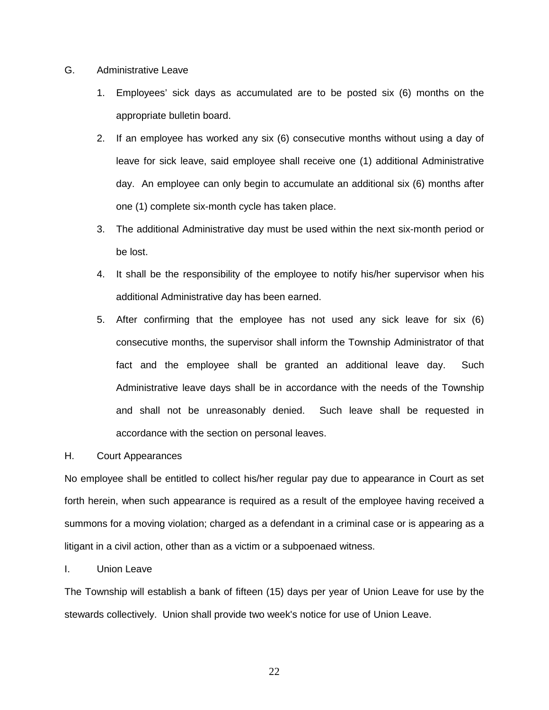- G. Administrative Leave
	- 1. Employees' sick days as accumulated are to be posted six (6) months on the appropriate bulletin board.
	- 2. If an employee has worked any six (6) consecutive months without using a day of leave for sick leave, said employee shall receive one (1) additional Administrative day. An employee can only begin to accumulate an additional six (6) months after one (1) complete six-month cycle has taken place.
	- 3. The additional Administrative day must be used within the next six-month period or be lost.
	- 4. It shall be the responsibility of the employee to notify his/her supervisor when his additional Administrative day has been earned.
	- 5. After confirming that the employee has not used any sick leave for six (6) consecutive months, the supervisor shall inform the Township Administrator of that fact and the employee shall be granted an additional leave day. Such Administrative leave days shall be in accordance with the needs of the Township and shall not be unreasonably denied. Such leave shall be requested in accordance with the section on personal leaves.

#### H. Court Appearances

No employee shall be entitled to collect his/her regular pay due to appearance in Court as set forth herein, when such appearance is required as a result of the employee having received a summons for a moving violation; charged as a defendant in a criminal case or is appearing as a litigant in a civil action, other than as a victim or a subpoenaed witness.

#### I. Union Leave

The Township will establish a bank of fifteen (15) days per year of Union Leave for use by the stewards collectively. Union shall provide two week's notice for use of Union Leave.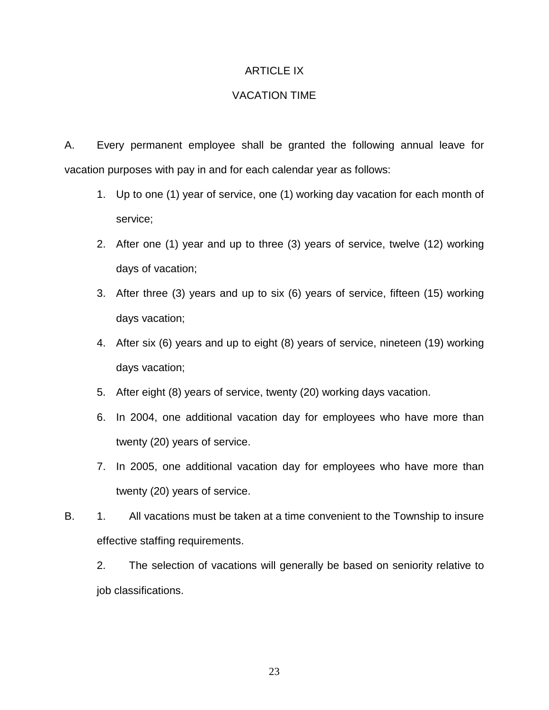# ARTICLE IX

# VACATION TIME

A. Every permanent employee shall be granted the following annual leave for vacation purposes with pay in and for each calendar year as follows:

- 1. Up to one (1) year of service, one (1) working day vacation for each month of service;
- 2. After one (1) year and up to three (3) years of service, twelve (12) working days of vacation;
- 3. After three (3) years and up to six (6) years of service, fifteen (15) working days vacation;
- 4. After six (6) years and up to eight (8) years of service, nineteen (19) working days vacation;
- 5. After eight (8) years of service, twenty (20) working days vacation.
- 6. In 2004, one additional vacation day for employees who have more than twenty (20) years of service.
- 7. In 2005, one additional vacation day for employees who have more than twenty (20) years of service.
- B. 1. All vacations must be taken at a time convenient to the Township to insure effective staffing requirements.
	- 2. The selection of vacations will generally be based on seniority relative to job classifications.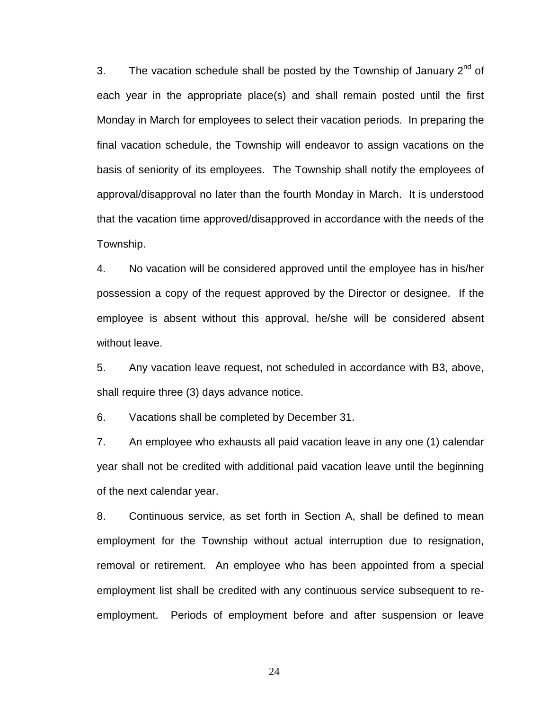3. The vacation schedule shall be posted by the Township of January  $2^{nd}$  of each year in the appropriate place(s) and shall remain posted until the first Monday in March for employees to select their vacation periods. In preparing the final vacation schedule, the Township will endeavor to assign vacations on the basis of seniority of its employees. The Township shall notify the employees of approval/disapproval no later than the fourth Monday in March. It is understood that the vacation time approved/disapproved in accordance with the needs of the Township.

4. No vacation will be considered approved until the employee has in his/her possession a copy of the request approved by the Director or designee. If the employee is absent without this approval, he/she will be considered absent without leave.

5. Any vacation leave request, not scheduled in accordance with B3, above, shall require three (3) days advance notice.

6. Vacations shall be completed by December 31.

7. An employee who exhausts all paid vacation leave in any one (1) calendar year shall not be credited with additional paid vacation leave until the beginning of the next calendar year.

8. Continuous service, as set forth in Section A, shall be defined to mean employment for the Township without actual interruption due to resignation, removal or retirement. An employee who has been appointed from a special employment list shall be credited with any continuous service subsequent to reemployment. Periods of employment before and after suspension or leave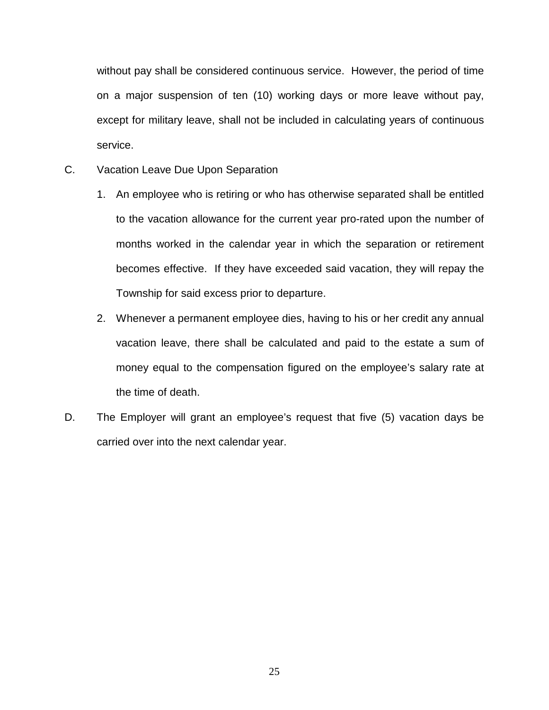without pay shall be considered continuous service. However, the period of time on a major suspension of ten (10) working days or more leave without pay, except for military leave, shall not be included in calculating years of continuous service.

- C. Vacation Leave Due Upon Separation
	- 1. An employee who is retiring or who has otherwise separated shall be entitled to the vacation allowance for the current year pro-rated upon the number of months worked in the calendar year in which the separation or retirement becomes effective. If they have exceeded said vacation, they will repay the Township for said excess prior to departure.
	- 2. Whenever a permanent employee dies, having to his or her credit any annual vacation leave, there shall be calculated and paid to the estate a sum of money equal to the compensation figured on the employee's salary rate at the time of death.
- D. The Employer will grant an employee's request that five (5) vacation days be carried over into the next calendar year.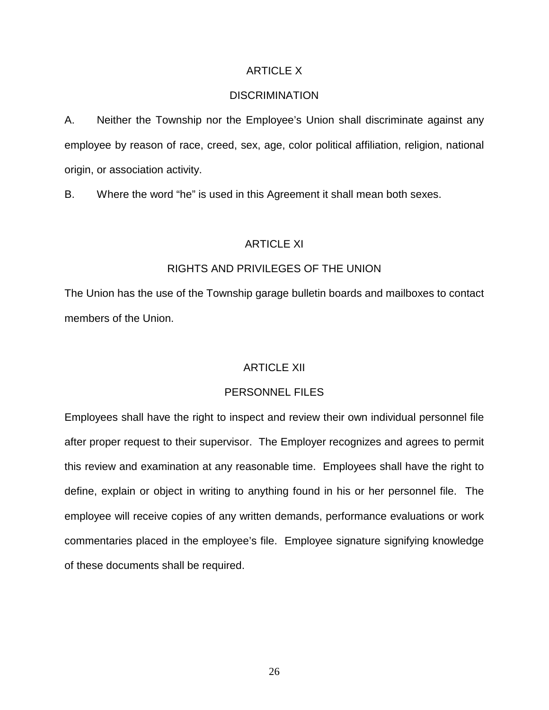# ARTICLE X

# **DISCRIMINATION**

A. Neither the Township nor the Employee's Union shall discriminate against any employee by reason of race, creed, sex, age, color political affiliation, religion, national origin, or association activity.

B. Where the word "he" is used in this Agreement it shall mean both sexes.

# ARTICLE XI

# RIGHTS AND PRIVILEGES OF THE UNION

The Union has the use of the Township garage bulletin boards and mailboxes to contact members of the Union.

### ARTICLE XII

#### PERSONNEL FILES

Employees shall have the right to inspect and review their own individual personnel file after proper request to their supervisor. The Employer recognizes and agrees to permit this review and examination at any reasonable time. Employees shall have the right to define, explain or object in writing to anything found in his or her personnel file. The employee will receive copies of any written demands, performance evaluations or work commentaries placed in the employee's file. Employee signature signifying knowledge of these documents shall be required.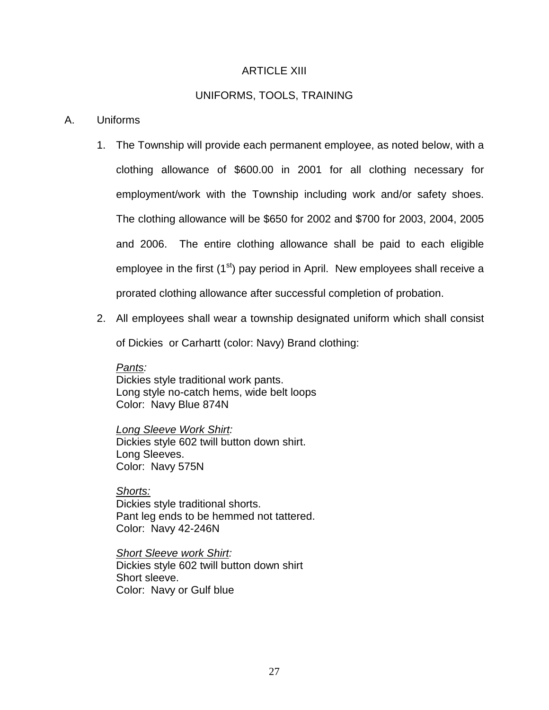# ARTICLE XIII

# UNIFORMS, TOOLS, TRAINING

### A. Uniforms

- 1. The Township will provide each permanent employee, as noted below, with a clothing allowance of \$600.00 in 2001 for all clothing necessary for employment/work with the Township including work and/or safety shoes. The clothing allowance will be \$650 for 2002 and \$700 for 2003, 2004, 2005 and 2006. The entire clothing allowance shall be paid to each eligible employee in the first  $(1<sup>st</sup>)$  pay period in April. New employees shall receive a prorated clothing allowance after successful completion of probation.
- 2. All employees shall wear a township designated uniform which shall consist

of Dickies or Carhartt (color: Navy) Brand clothing:

#### *Pants:*

Dickies style traditional work pants. Long style no-catch hems, wide belt loops Color: Navy Blue 874N

*Long Sleeve Work Shirt:* Dickies style 602 twill button down shirt. Long Sleeves. Color: Navy 575N

*Shorts:* Dickies style traditional shorts. Pant leg ends to be hemmed not tattered. Color: Navy 42-246N

*Short Sleeve work Shirt:*  Dickies style 602 twill button down shirt Short sleeve. Color: Navy or Gulf blue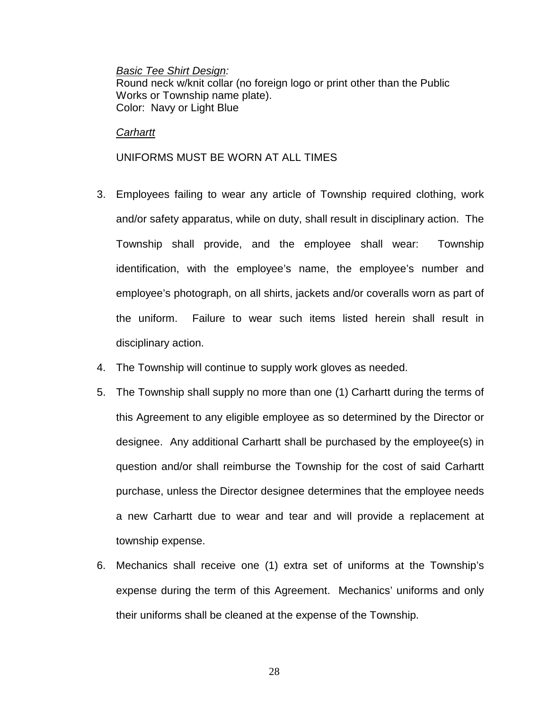### *Basic Tee Shirt Design:*

Round neck w/knit collar (no foreign logo or print other than the Public Works or Township name plate). Color: Navy or Light Blue

# *Carhartt*

# UNIFORMS MUST BE WORN AT ALL TIMES

- 3. Employees failing to wear any article of Township required clothing, work and/or safety apparatus, while on duty, shall result in disciplinary action. The Township shall provide, and the employee shall wear: Township identification, with the employee's name, the employee's number and employee's photograph, on all shirts, jackets and/or coveralls worn as part of the uniform. Failure to wear such items listed herein shall result in disciplinary action.
- 4. The Township will continue to supply work gloves as needed.
- 5. The Township shall supply no more than one (1) Carhartt during the terms of this Agreement to any eligible employee as so determined by the Director or designee. Any additional Carhartt shall be purchased by the employee(s) in question and/or shall reimburse the Township for the cost of said Carhartt purchase, unless the Director designee determines that the employee needs a new Carhartt due to wear and tear and will provide a replacement at township expense.
- 6. Mechanics shall receive one (1) extra set of uniforms at the Township's expense during the term of this Agreement. Mechanics' uniforms and only their uniforms shall be cleaned at the expense of the Township.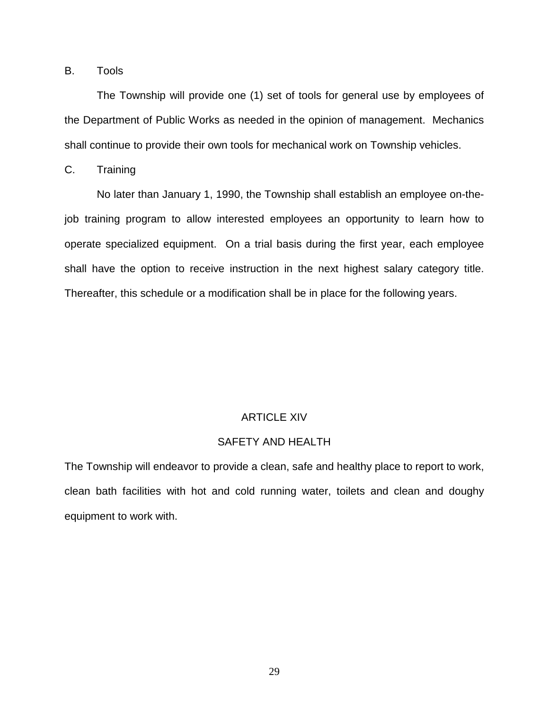# B. Tools

The Township will provide one (1) set of tools for general use by employees of the Department of Public Works as needed in the opinion of management. Mechanics shall continue to provide their own tools for mechanical work on Township vehicles.

# C. Training

No later than January 1, 1990, the Township shall establish an employee on-thejob training program to allow interested employees an opportunity to learn how to operate specialized equipment. On a trial basis during the first year, each employee shall have the option to receive instruction in the next highest salary category title. Thereafter, this schedule or a modification shall be in place for the following years.

# ARTICLE XIV

# SAFETY AND HEALTH

The Township will endeavor to provide a clean, safe and healthy place to report to work, clean bath facilities with hot and cold running water, toilets and clean and doughy equipment to work with.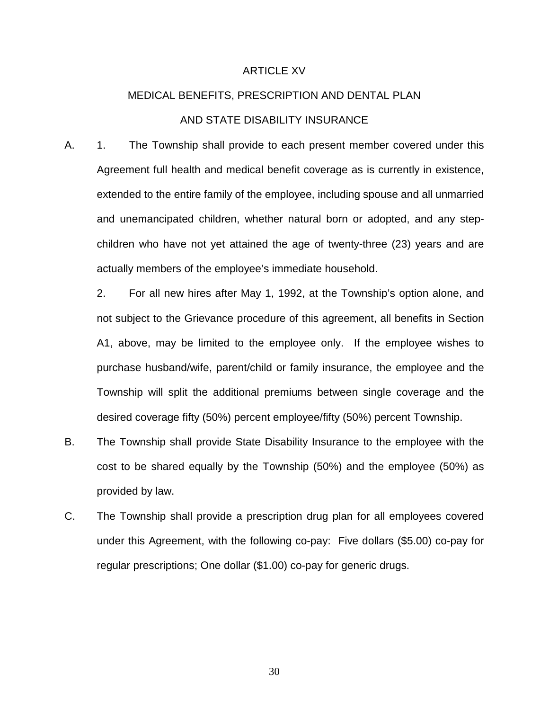#### ARTICLE XV

# MEDICAL BENEFITS, PRESCRIPTION AND DENTAL PLAN AND STATE DISABILITY INSURANCE

A. 1. The Township shall provide to each present member covered under this Agreement full health and medical benefit coverage as is currently in existence, extended to the entire family of the employee, including spouse and all unmarried and unemancipated children, whether natural born or adopted, and any stepchildren who have not yet attained the age of twenty-three (23) years and are actually members of the employee's immediate household.

2. For all new hires after May 1, 1992, at the Township's option alone, and not subject to the Grievance procedure of this agreement, all benefits in Section A1, above, may be limited to the employee only. If the employee wishes to purchase husband/wife, parent/child or family insurance, the employee and the Township will split the additional premiums between single coverage and the desired coverage fifty (50%) percent employee/fifty (50%) percent Township.

- B. The Township shall provide State Disability Insurance to the employee with the cost to be shared equally by the Township (50%) and the employee (50%) as provided by law.
- C. The Township shall provide a prescription drug plan for all employees covered under this Agreement, with the following co-pay: Five dollars (\$5.00) co-pay for regular prescriptions; One dollar (\$1.00) co-pay for generic drugs.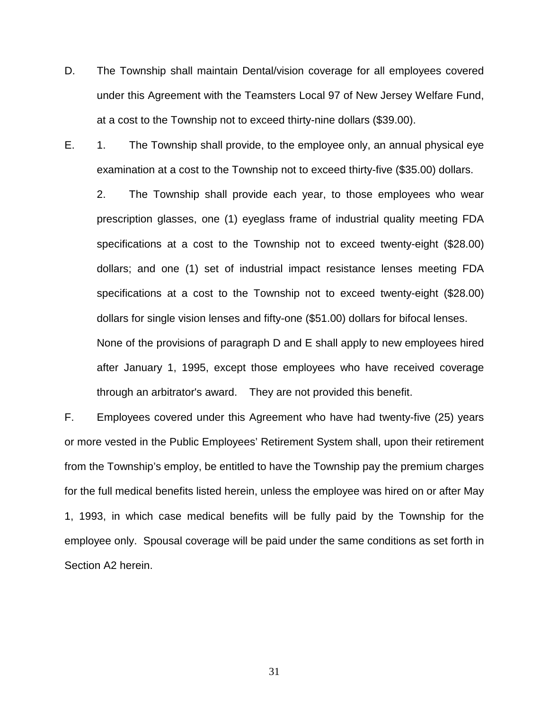- D. The Township shall maintain Dental/vision coverage for all employees covered under this Agreement with the Teamsters Local 97 of New Jersey Welfare Fund, at a cost to the Township not to exceed thirty-nine dollars (\$39.00).
- E. 1. The Township shall provide, to the employee only, an annual physical eye examination at a cost to the Township not to exceed thirty-five (\$35.00) dollars.

2. The Township shall provide each year, to those employees who wear prescription glasses, one (1) eyeglass frame of industrial quality meeting FDA specifications at a cost to the Township not to exceed twenty-eight (\$28.00) dollars; and one (1) set of industrial impact resistance lenses meeting FDA specifications at a cost to the Township not to exceed twenty-eight (\$28.00) dollars for single vision lenses and fifty-one (\$51.00) dollars for bifocal lenses. None of the provisions of paragraph D and E shall apply to new employees hired after January 1, 1995, except those employees who have received coverage through an arbitrator's award. They are not provided this benefit.

F. Employees covered under this Agreement who have had twenty-five (25) years or more vested in the Public Employees' Retirement System shall, upon their retirement from the Township's employ, be entitled to have the Township pay the premium charges for the full medical benefits listed herein, unless the employee was hired on or after May 1, 1993, in which case medical benefits will be fully paid by the Township for the employee only. Spousal coverage will be paid under the same conditions as set forth in Section A2 herein.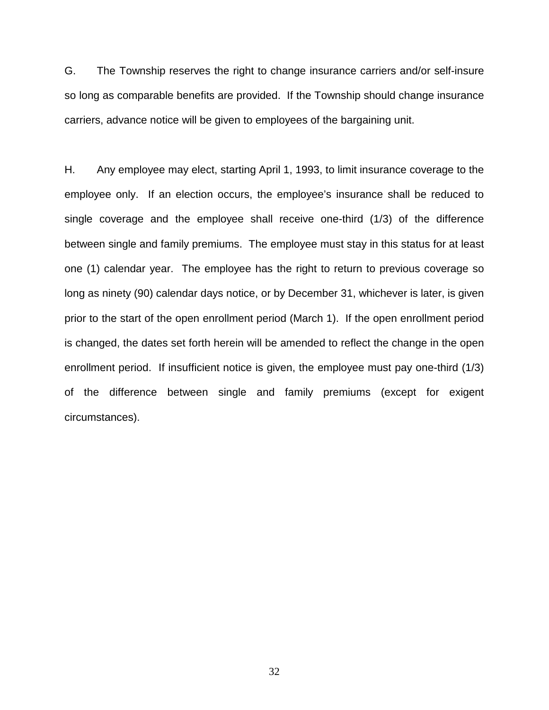G. The Township reserves the right to change insurance carriers and/or self-insure so long as comparable benefits are provided. If the Township should change insurance carriers, advance notice will be given to employees of the bargaining unit.

H. Any employee may elect, starting April 1, 1993, to limit insurance coverage to the employee only. If an election occurs, the employee's insurance shall be reduced to single coverage and the employee shall receive one-third (1/3) of the difference between single and family premiums. The employee must stay in this status for at least one (1) calendar year. The employee has the right to return to previous coverage so long as ninety (90) calendar days notice, or by December 31, whichever is later, is given prior to the start of the open enrollment period (March 1). If the open enrollment period is changed, the dates set forth herein will be amended to reflect the change in the open enrollment period. If insufficient notice is given, the employee must pay one-third (1/3) of the difference between single and family premiums (except for exigent circumstances).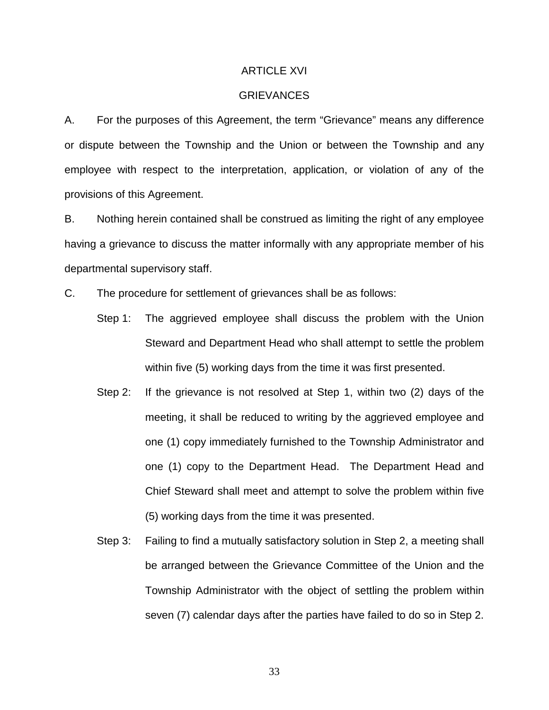### ARTICLE XVI

# **GRIEVANCES**

A. For the purposes of this Agreement, the term "Grievance" means any difference or dispute between the Township and the Union or between the Township and any employee with respect to the interpretation, application, or violation of any of the provisions of this Agreement.

B. Nothing herein contained shall be construed as limiting the right of any employee having a grievance to discuss the matter informally with any appropriate member of his departmental supervisory staff.

C. The procedure for settlement of grievances shall be as follows:

- Step 1: The aggrieved employee shall discuss the problem with the Union Steward and Department Head who shall attempt to settle the problem within five (5) working days from the time it was first presented.
- Step 2: If the grievance is not resolved at Step 1, within two (2) days of the meeting, it shall be reduced to writing by the aggrieved employee and one (1) copy immediately furnished to the Township Administrator and one (1) copy to the Department Head. The Department Head and Chief Steward shall meet and attempt to solve the problem within five (5) working days from the time it was presented.
- Step 3: Failing to find a mutually satisfactory solution in Step 2, a meeting shall be arranged between the Grievance Committee of the Union and the Township Administrator with the object of settling the problem within seven (7) calendar days after the parties have failed to do so in Step 2.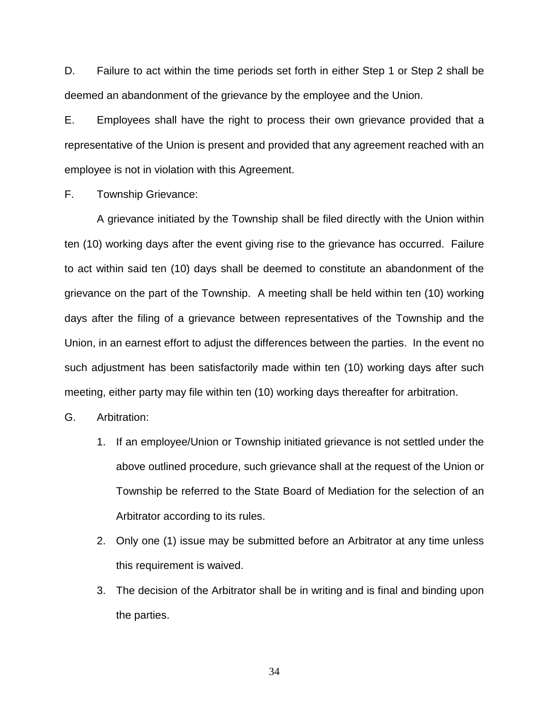D. Failure to act within the time periods set forth in either Step 1 or Step 2 shall be deemed an abandonment of the grievance by the employee and the Union.

E. Employees shall have the right to process their own grievance provided that a representative of the Union is present and provided that any agreement reached with an employee is not in violation with this Agreement.

F. Township Grievance:

A grievance initiated by the Township shall be filed directly with the Union within ten (10) working days after the event giving rise to the grievance has occurred. Failure to act within said ten (10) days shall be deemed to constitute an abandonment of the grievance on the part of the Township. A meeting shall be held within ten (10) working days after the filing of a grievance between representatives of the Township and the Union, in an earnest effort to adjust the differences between the parties. In the event no such adjustment has been satisfactorily made within ten (10) working days after such meeting, either party may file within ten (10) working days thereafter for arbitration.

G. Arbitration:

- 1. If an employee/Union or Township initiated grievance is not settled under the above outlined procedure, such grievance shall at the request of the Union or Township be referred to the State Board of Mediation for the selection of an Arbitrator according to its rules.
- 2. Only one (1) issue may be submitted before an Arbitrator at any time unless this requirement is waived.
- 3. The decision of the Arbitrator shall be in writing and is final and binding upon the parties.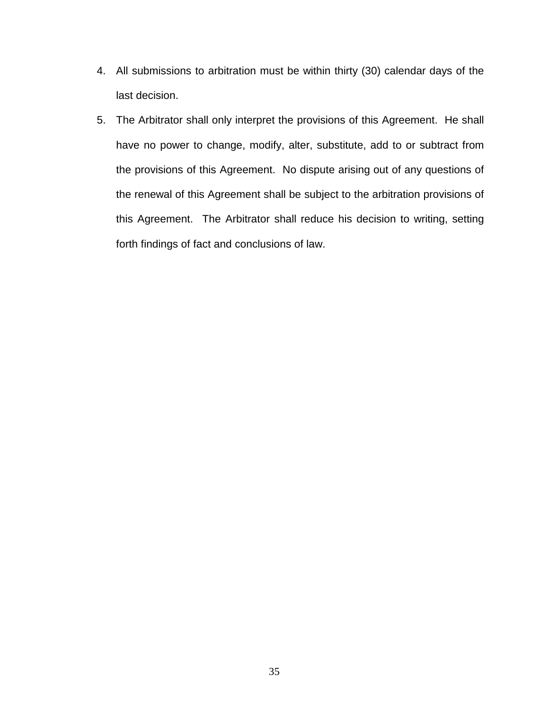- 4. All submissions to arbitration must be within thirty (30) calendar days of the last decision.
- 5. The Arbitrator shall only interpret the provisions of this Agreement. He shall have no power to change, modify, alter, substitute, add to or subtract from the provisions of this Agreement. No dispute arising out of any questions of the renewal of this Agreement shall be subject to the arbitration provisions of this Agreement. The Arbitrator shall reduce his decision to writing, setting forth findings of fact and conclusions of law.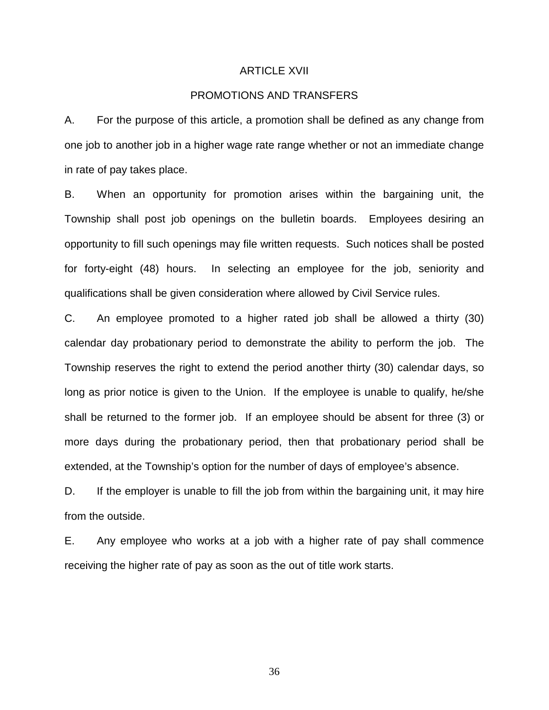### ARTICLE XVII

# PROMOTIONS AND TRANSFERS

A. For the purpose of this article, a promotion shall be defined as any change from one job to another job in a higher wage rate range whether or not an immediate change in rate of pay takes place.

B. When an opportunity for promotion arises within the bargaining unit, the Township shall post job openings on the bulletin boards. Employees desiring an opportunity to fill such openings may file written requests. Such notices shall be posted for forty-eight (48) hours. In selecting an employee for the job, seniority and qualifications shall be given consideration where allowed by Civil Service rules.

C. An employee promoted to a higher rated job shall be allowed a thirty (30) calendar day probationary period to demonstrate the ability to perform the job. The Township reserves the right to extend the period another thirty (30) calendar days, so long as prior notice is given to the Union. If the employee is unable to qualify, he/she shall be returned to the former job. If an employee should be absent for three (3) or more days during the probationary period, then that probationary period shall be extended, at the Township's option for the number of days of employee's absence.

D. If the employer is unable to fill the job from within the bargaining unit, it may hire from the outside.

E. Any employee who works at a job with a higher rate of pay shall commence receiving the higher rate of pay as soon as the out of title work starts.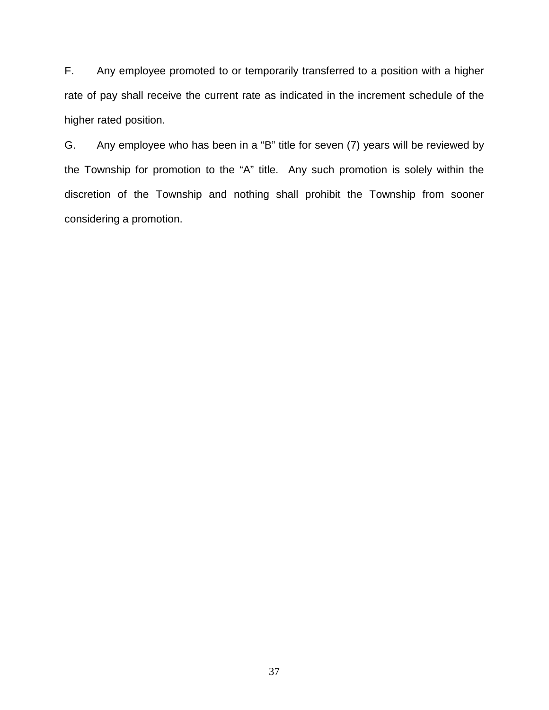F. Any employee promoted to or temporarily transferred to a position with a higher rate of pay shall receive the current rate as indicated in the increment schedule of the higher rated position.

G. Any employee who has been in a "B" title for seven (7) years will be reviewed by the Township for promotion to the "A" title. Any such promotion is solely within the discretion of the Township and nothing shall prohibit the Township from sooner considering a promotion.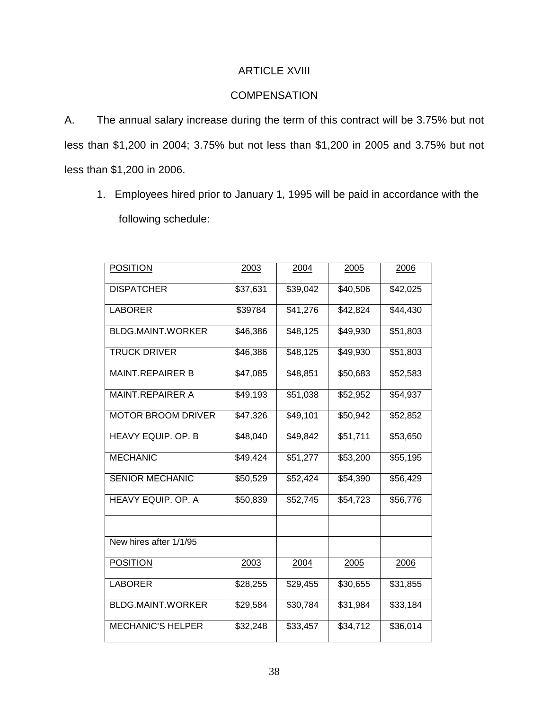# ARTICLE XVIII

# **COMPENSATION**

A. The annual salary increase during the term of this contract will be 3.75% but not less than \$1,200 in 2004; 3.75% but not less than \$1,200 in 2005 and 3.75% but not less than \$1,200 in 2006.

1. Employees hired prior to January 1, 1995 will be paid in accordance with the following schedule:

| <b>POSITION</b>           | 2003     | 2004     | 2005     | 2006     |
|---------------------------|----------|----------|----------|----------|
| <b>DISPATCHER</b>         | \$37,631 | \$39,042 | \$40,506 | \$42,025 |
| <b>LABORER</b>            | \$39784  | \$41,276 | \$42,824 | \$44,430 |
| <b>BLDG.MAINT.WORKER</b>  | \$46,386 | \$48,125 | \$49,930 | \$51,803 |
| <b>TRUCK DRIVER</b>       | \$46,386 | \$48,125 | \$49,930 | \$51,803 |
| <b>MAINT.REPAIRER B</b>   | \$47,085 | \$48,851 | \$50,683 | \$52,583 |
| <b>MAINT.REPAIRER A</b>   | \$49,193 | \$51,038 | \$52,952 | \$54,937 |
| <b>MOTOR BROOM DRIVER</b> | \$47,326 | \$49,101 | \$50,942 | \$52,852 |
| HEAVY EQUIP. OP. B        | \$48,040 | \$49,842 | \$51,711 | \$53,650 |
| <b>MECHANIC</b>           | \$49,424 | \$51,277 | \$53,200 | \$55,195 |
| <b>SENIOR MECHANIC</b>    | \$50,529 | \$52,424 | \$54,390 | \$56,429 |
| HEAVY EQUIP. OP. A        | \$50,839 | \$52,745 | \$54,723 | \$56,776 |
|                           |          |          |          |          |
| New hires after 1/1/95    |          |          |          |          |
| <b>POSITION</b>           | 2003     | 2004     | 2005     | 2006     |
| <b>LABORER</b>            | \$28,255 | \$29,455 | \$30,655 | \$31,855 |
| <b>BLDG.MAINT.WORKER</b>  | \$29,584 | \$30,784 | \$31,984 | \$33,184 |
| <b>MECHANIC'S HELPER</b>  | \$32,248 | \$33,457 | \$34,712 | \$36,014 |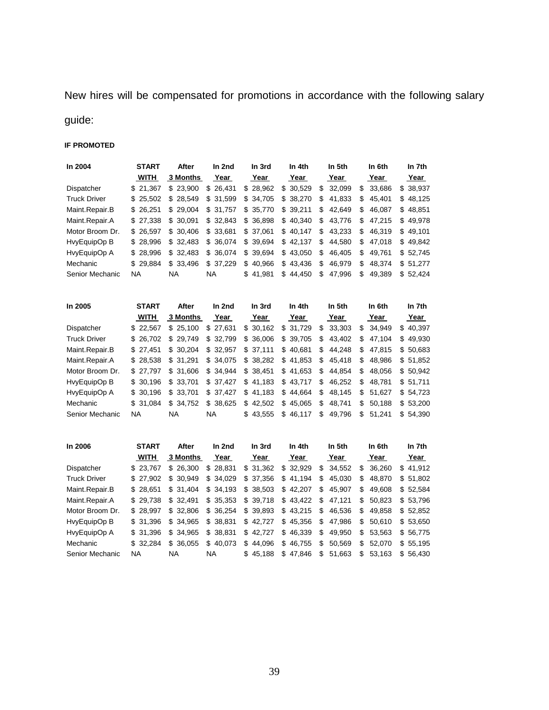New hires will be compensated for promotions in accordance with the following salary

# guide:

# **IF PROMOTED**

| In 2004             | <b>START</b> | After           | In 2nd    | In 3rd    | In 4th   | In 5th       | In 6th       | In 7th    |
|---------------------|--------------|-----------------|-----------|-----------|----------|--------------|--------------|-----------|
|                     | <b>WITH</b>  | <b>3 Months</b> | Year      | Year      | Year     | Year         | Year         | Year      |
| Dispatcher          | \$21.367     | \$23.900        | \$26,431  | \$28,962  | \$30,529 | 32,099<br>\$ | 33.686<br>\$ | \$ 38,937 |
| <b>Truck Driver</b> | \$25.502     | \$28.549        | \$31.599  | \$ 34.705 | \$38,270 | \$<br>41.833 | \$<br>45.401 | \$48.125  |
| Maint.Repair.B      | \$26.251     | \$29.004        | \$31.757  | \$35,770  | \$39,211 | \$<br>42.649 | \$<br>46.087 | \$48.851  |
| Maint.Repair.A      | \$27.338     | \$30.091        | \$32,843  | \$36,898  | \$40,340 | \$<br>43.776 | \$<br>47.215 | \$49.978  |
| Motor Broom Dr.     | \$26.597     | \$30.406        | \$ 33.681 | \$ 37,061 | \$40.147 | \$<br>43.233 | \$<br>46.319 | \$49.101  |
| HvyEquipOp B        | \$28,996     | \$32.483        | \$36.074  | \$ 39,694 | \$42,137 | \$<br>44.580 | \$<br>47.018 | \$49.842  |
| HvyEquipOp A        | \$28.996     | \$32.483        | \$36,074  | \$ 39,694 | \$43,050 | \$<br>46.405 | \$<br>49.761 | \$52.745  |
| Mechanic            | \$29.884     | \$33.496        | \$ 37.229 | \$40.966  | \$43,436 | \$<br>46.979 | \$<br>48.374 | \$51.277  |
| Senior Mechanic     | <b>NA</b>    | ΝA              | ΝA        | \$41.981  | \$44.450 | \$<br>47.996 | \$<br>49.389 | \$52.424  |

| In 2005             | <b>START</b> | After           | In 2nd    | In 3rd   | In 4th   | In 5th       | In 6th        | In 7th    |
|---------------------|--------------|-----------------|-----------|----------|----------|--------------|---------------|-----------|
|                     | <b>WITH</b>  | <b>3 Months</b> | Year      | Year     | Year     | Year         | Year          | Year      |
| Dispatcher          | \$22.567     | \$25.100        | \$27.631  | \$30.162 | \$31.729 | \$33,303     | 34.949<br>\$. | \$40.397  |
| <b>Truck Driver</b> | \$ 26.702    | \$29.749        | \$32,799  | \$36.006 | \$39,705 | \$43,402     | \$<br>47.104  | \$49.930  |
| Maint.Repair.B      | \$27.451     | \$30.204        | \$ 32,957 | \$37,111 | \$40,681 | \$44,248     | \$<br>47.815  | \$50.683  |
| Maint.Repair.A      | \$28.538     | \$31.291        | \$34,075  | \$38,282 | \$41,853 | \$45,418     | \$<br>48.986  | \$51.852  |
| Motor Broom Dr.     | \$27.797     | \$31.606        | \$34,944  | \$38,451 | \$41,653 | \$<br>44.854 | \$<br>48.056  | \$50.942  |
| HvyEquipOp B        | \$ 30.196    | \$33.701        | \$37.427  | \$41,183 | \$43.717 | \$<br>46.252 | \$<br>48.781  | \$ 51.711 |
| HvyEquipOp A        | \$ 30.196    | \$33.701        | \$37.427  | \$41,183 | \$44.664 | \$<br>48.145 | \$<br>51.627  | \$54.723  |
| Mechanic            | \$ 31.084    | \$34.752        | \$38,625  | \$42.502 | \$45,065 | \$<br>48.741 | \$<br>50.188  | \$53.200  |
| Senior Mechanic     | <b>NA</b>    | <b>NA</b>       | NA.       | \$43.555 | \$46,117 | \$<br>49.796 | \$<br>51.241  | \$54.390  |

| In 2006             | <b>START</b> | After     | In 2nd   | In 3rd   | In 4th   | In 5th       | In 6th       | In 7th        |
|---------------------|--------------|-----------|----------|----------|----------|--------------|--------------|---------------|
|                     | <b>WITH</b>  | 3 Months  | Year     | Year     | Year     | Year         | Year         | Year          |
| Dispatcher          | \$23.767     | \$26.300  | \$28,831 | \$31,362 | \$32,929 | \$34,552     | 36.260<br>S  | 41.912<br>\$. |
| <b>Truck Driver</b> | \$27.902     | \$30.949  | \$34,029 | \$37,356 | \$41,194 | \$<br>45,030 | \$<br>48.870 | \$51,802      |
| Maint.Repair.B      | \$28.651     | \$31.404  | \$34.193 | \$38,503 | \$42,207 | \$<br>45.907 | \$<br>49.608 | \$52.584      |
| Maint.Repair.A      | \$29.738     | \$32.491  | \$35,353 | \$39,718 | \$43,422 | \$<br>47.121 | \$<br>50.823 | \$53.796      |
| Motor Broom Dr.     | \$28.997     | \$32.806  | \$36,254 | \$39,893 | \$43,215 | \$<br>46,536 | \$<br>49.858 | \$52.852      |
| HvyEquipOp B        | \$31.396     | \$ 34.965 | \$38,831 | \$42.727 | \$45.356 | \$<br>47.986 | \$<br>50.610 | \$53,650      |
| HvyEquipOp A        | \$ 31.396    | \$ 34.965 | \$38,831 | \$42.727 | \$46,339 | \$<br>49.950 | \$<br>53.563 | \$56.775      |
| Mechanic            | \$ 32.284    | \$36.055  | \$40,073 | \$44,096 | \$46,755 | \$<br>50,569 | \$<br>52.070 | \$55.195      |
| Senior Mechanic     | <b>NA</b>    | <b>NA</b> | NA.      | \$45.188 | \$47.846 | \$<br>51.663 | \$<br>53.163 | \$56.430      |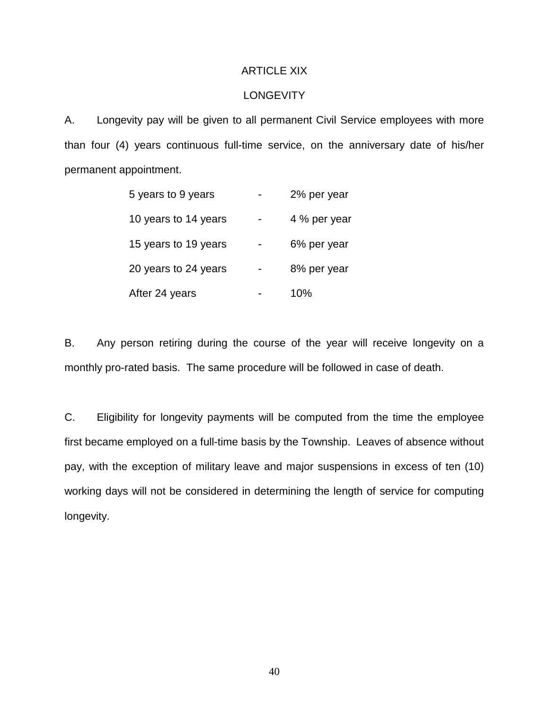# ARTICLE XIX

# **LONGEVITY**

A. Longevity pay will be given to all permanent Civil Service employees with more than four (4) years continuous full-time service, on the anniversary date of his/her permanent appointment.

| 5 years to 9 years   | 2% per year  |
|----------------------|--------------|
| 10 years to 14 years | 4 % per year |
| 15 years to 19 years | 6% per year  |
| 20 years to 24 years | 8% per year  |
| After 24 years       | 10%          |

B. Any person retiring during the course of the year will receive longevity on a monthly pro-rated basis. The same procedure will be followed in case of death.

C. Eligibility for longevity payments will be computed from the time the employee first became employed on a full-time basis by the Township. Leaves of absence without pay, with the exception of military leave and major suspensions in excess of ten (10) working days will not be considered in determining the length of service for computing longevity.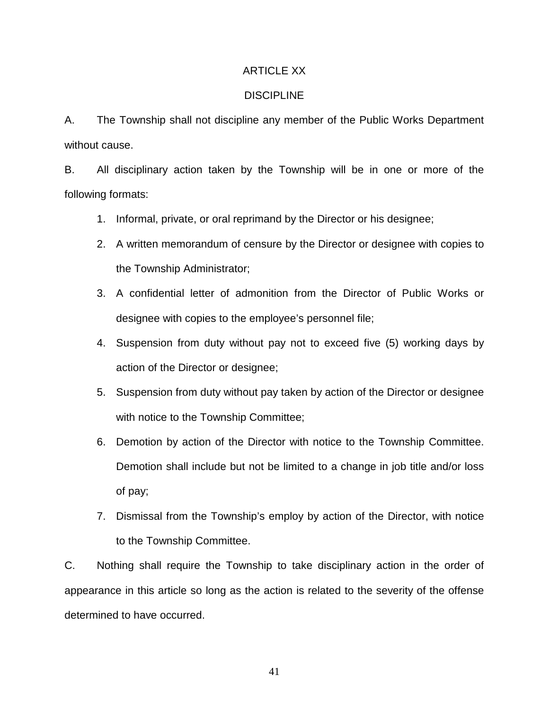# ARTICLE XX

# **DISCIPLINE**

A. The Township shall not discipline any member of the Public Works Department without cause.

B. All disciplinary action taken by the Township will be in one or more of the following formats:

- 1. Informal, private, or oral reprimand by the Director or his designee;
- 2. A written memorandum of censure by the Director or designee with copies to the Township Administrator;
- 3. A confidential letter of admonition from the Director of Public Works or designee with copies to the employee's personnel file;
- 4. Suspension from duty without pay not to exceed five (5) working days by action of the Director or designee;
- 5. Suspension from duty without pay taken by action of the Director or designee with notice to the Township Committee;
- 6. Demotion by action of the Director with notice to the Township Committee. Demotion shall include but not be limited to a change in job title and/or loss of pay;
- 7. Dismissal from the Township's employ by action of the Director, with notice to the Township Committee.

C. Nothing shall require the Township to take disciplinary action in the order of appearance in this article so long as the action is related to the severity of the offense determined to have occurred.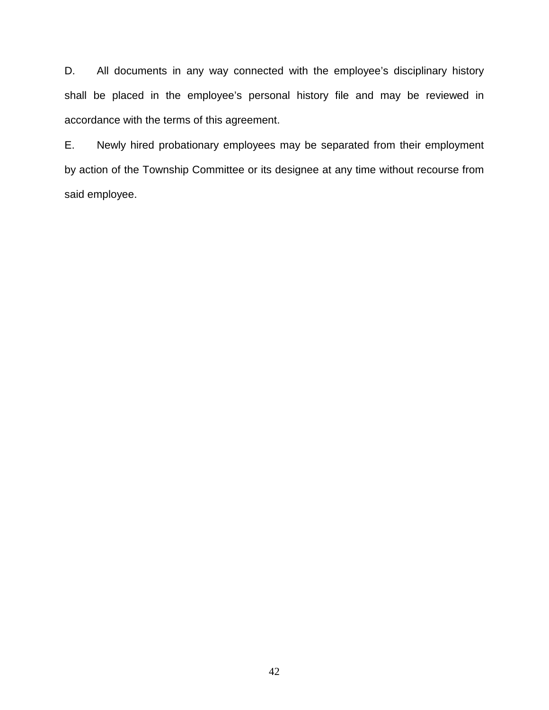D. All documents in any way connected with the employee's disciplinary history shall be placed in the employee's personal history file and may be reviewed in accordance with the terms of this agreement.

E. Newly hired probationary employees may be separated from their employment by action of the Township Committee or its designee at any time without recourse from said employee.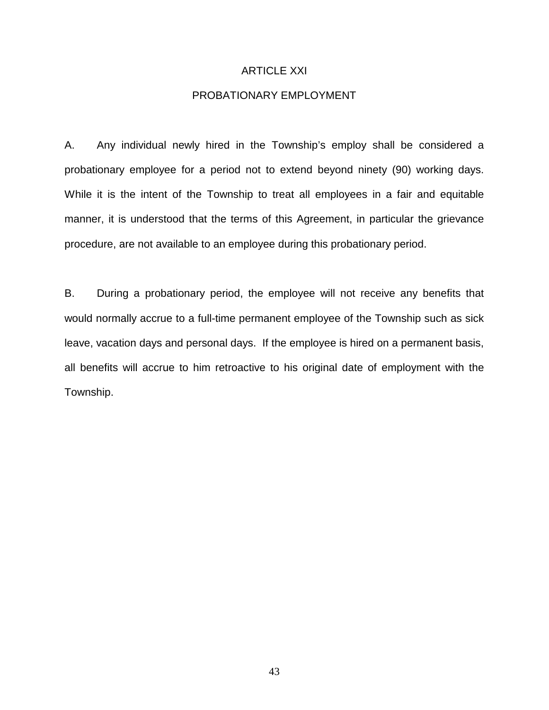# ARTICLE XXI

# PROBATIONARY EMPLOYMENT

A. Any individual newly hired in the Township's employ shall be considered a probationary employee for a period not to extend beyond ninety (90) working days. While it is the intent of the Township to treat all employees in a fair and equitable manner, it is understood that the terms of this Agreement, in particular the grievance procedure, are not available to an employee during this probationary period.

B. During a probationary period, the employee will not receive any benefits that would normally accrue to a full-time permanent employee of the Township such as sick leave, vacation days and personal days. If the employee is hired on a permanent basis, all benefits will accrue to him retroactive to his original date of employment with the Township.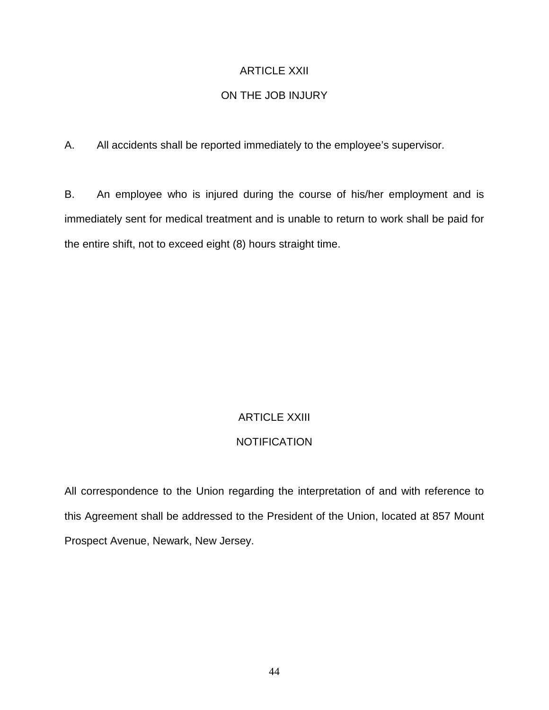# ARTICLE XXII

# ON THE JOB INJURY

A. All accidents shall be reported immediately to the employee's supervisor.

B. An employee who is injured during the course of his/her employment and is immediately sent for medical treatment and is unable to return to work shall be paid for the entire shift, not to exceed eight (8) hours straight time.

# ARTICLE XXIII

# **NOTIFICATION**

All correspondence to the Union regarding the interpretation of and with reference to this Agreement shall be addressed to the President of the Union, located at 857 Mount Prospect Avenue, Newark, New Jersey.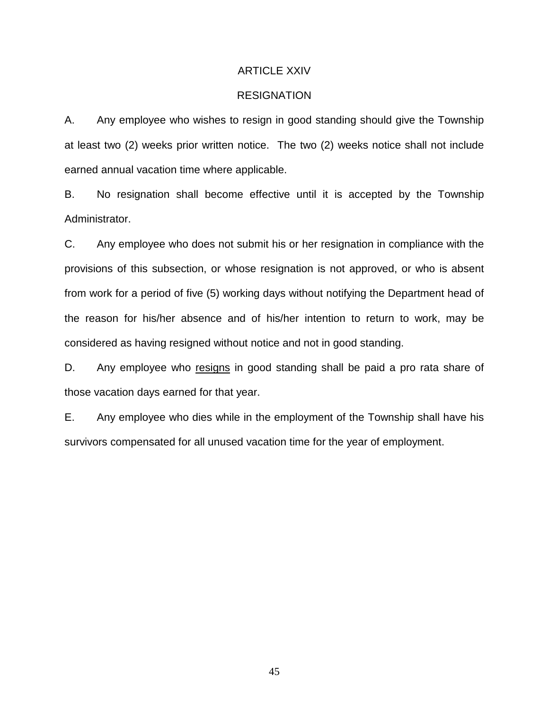#### ARTICLE XXIV

# **RESIGNATION**

A. Any employee who wishes to resign in good standing should give the Township at least two (2) weeks prior written notice. The two (2) weeks notice shall not include earned annual vacation time where applicable.

B. No resignation shall become effective until it is accepted by the Township Administrator.

C. Any employee who does not submit his or her resignation in compliance with the provisions of this subsection, or whose resignation is not approved, or who is absent from work for a period of five (5) working days without notifying the Department head of the reason for his/her absence and of his/her intention to return to work, may be considered as having resigned without notice and not in good standing.

D. Any employee who resigns in good standing shall be paid a pro rata share of those vacation days earned for that year.

E. Any employee who dies while in the employment of the Township shall have his survivors compensated for all unused vacation time for the year of employment.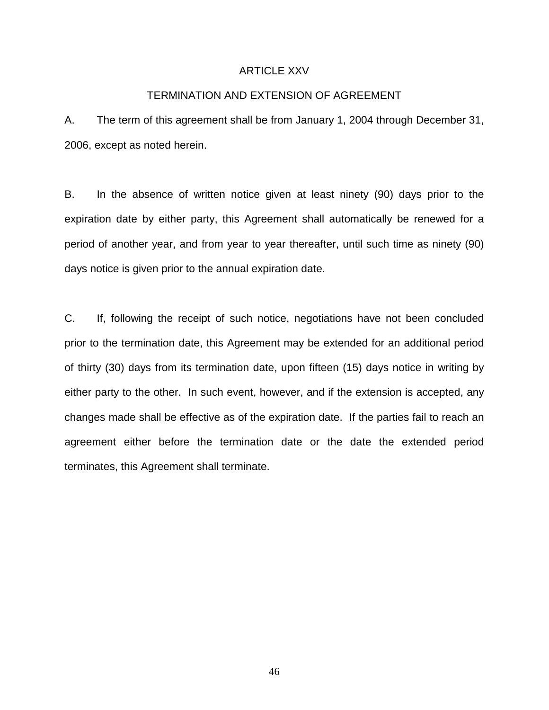# ARTICLE XXV

# TERMINATION AND EXTENSION OF AGREEMENT

A. The term of this agreement shall be from January 1, 2004 through December 31, 2006, except as noted herein.

B. In the absence of written notice given at least ninety (90) days prior to the expiration date by either party, this Agreement shall automatically be renewed for a period of another year, and from year to year thereafter, until such time as ninety (90) days notice is given prior to the annual expiration date.

C. If, following the receipt of such notice, negotiations have not been concluded prior to the termination date, this Agreement may be extended for an additional period of thirty (30) days from its termination date, upon fifteen (15) days notice in writing by either party to the other. In such event, however, and if the extension is accepted, any changes made shall be effective as of the expiration date. If the parties fail to reach an agreement either before the termination date or the date the extended period terminates, this Agreement shall terminate.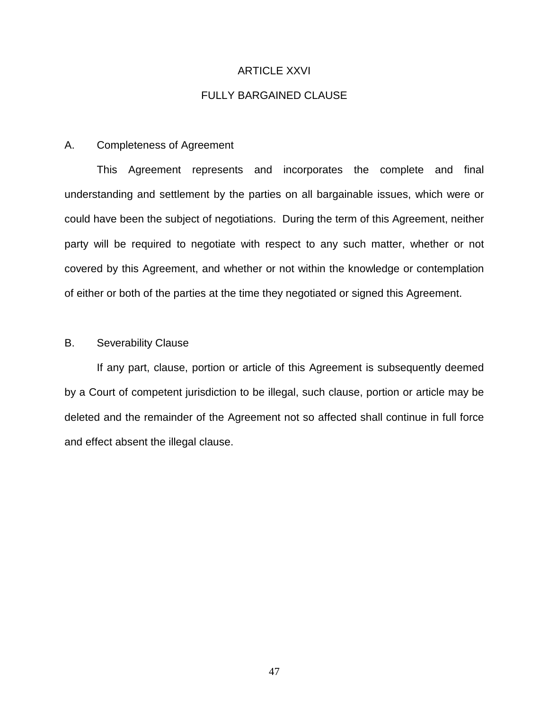# ARTICLE XXVI

# FULLY BARGAINED CLAUSE

# A. Completeness of Agreement

This Agreement represents and incorporates the complete and final understanding and settlement by the parties on all bargainable issues, which were or could have been the subject of negotiations. During the term of this Agreement, neither party will be required to negotiate with respect to any such matter, whether or not covered by this Agreement, and whether or not within the knowledge or contemplation of either or both of the parties at the time they negotiated or signed this Agreement.

# B. Severability Clause

If any part, clause, portion or article of this Agreement is subsequently deemed by a Court of competent jurisdiction to be illegal, such clause, portion or article may be deleted and the remainder of the Agreement not so affected shall continue in full force and effect absent the illegal clause.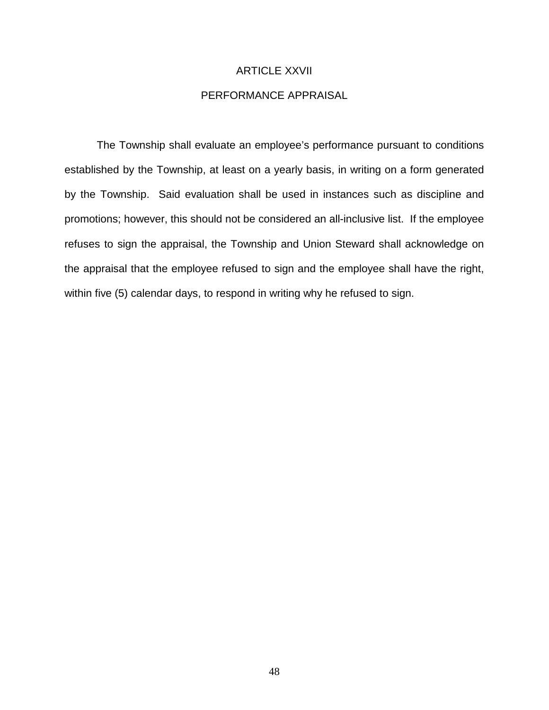# ARTICLE XXVII

# PERFORMANCE APPRAISAL

The Township shall evaluate an employee's performance pursuant to conditions established by the Township, at least on a yearly basis, in writing on a form generated by the Township. Said evaluation shall be used in instances such as discipline and promotions; however, this should not be considered an all-inclusive list. If the employee refuses to sign the appraisal, the Township and Union Steward shall acknowledge on the appraisal that the employee refused to sign and the employee shall have the right, within five (5) calendar days, to respond in writing why he refused to sign.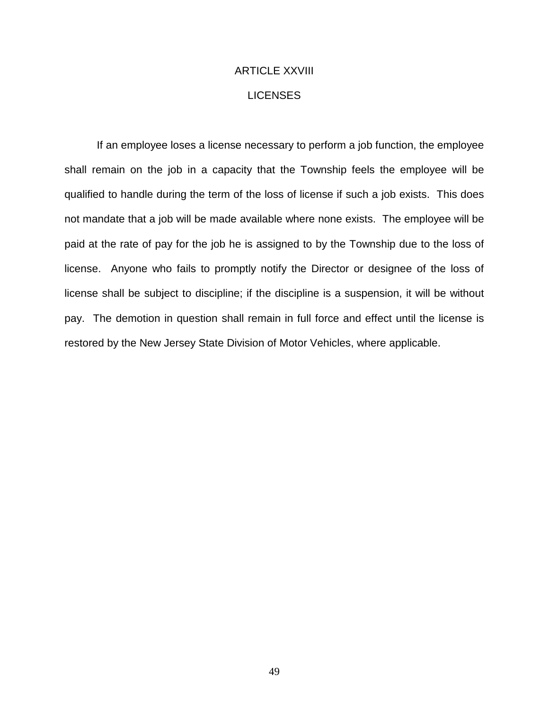# ARTICLE XXVIII **LICENSES**

If an employee loses a license necessary to perform a job function, the employee shall remain on the job in a capacity that the Township feels the employee will be qualified to handle during the term of the loss of license if such a job exists. This does not mandate that a job will be made available where none exists. The employee will be paid at the rate of pay for the job he is assigned to by the Township due to the loss of license. Anyone who fails to promptly notify the Director or designee of the loss of license shall be subject to discipline; if the discipline is a suspension, it will be without pay. The demotion in question shall remain in full force and effect until the license is restored by the New Jersey State Division of Motor Vehicles, where applicable.